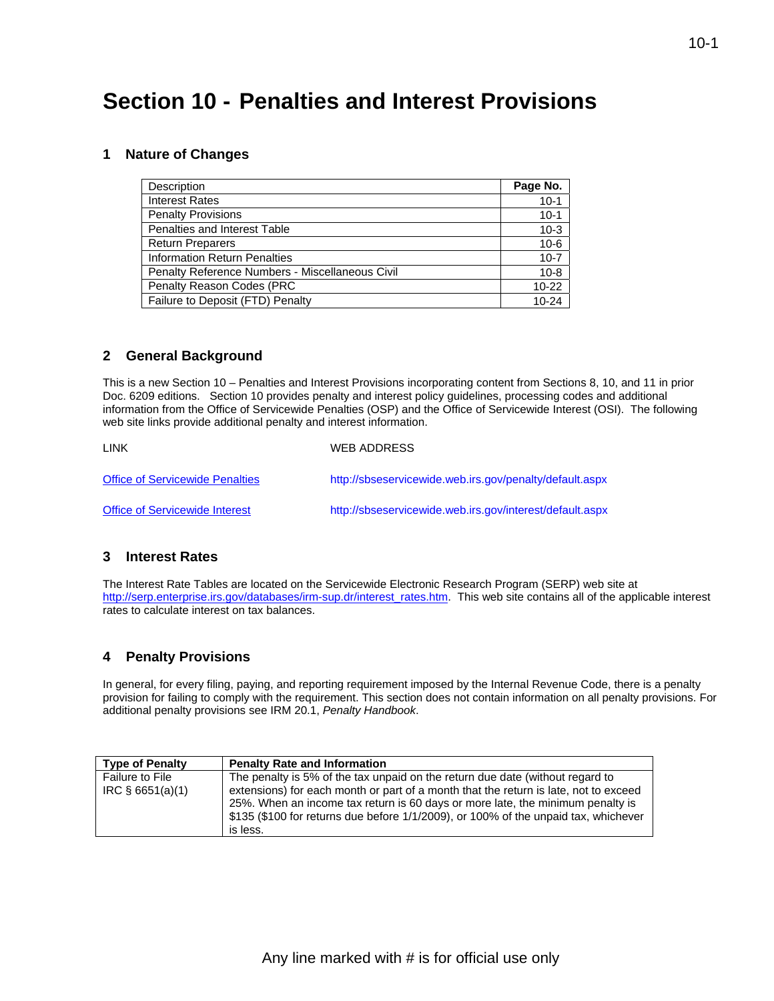## **Section 10 - Penalties and Interest Provisions**

#### **1 Nature of Changes**

| Description                                     | Page No.  |
|-------------------------------------------------|-----------|
| <b>Interest Rates</b>                           | $10-1$    |
| <b>Penalty Provisions</b>                       | $10 - 1$  |
| Penalties and Interest Table                    | $10-3$    |
| <b>Return Preparers</b>                         | $10-6$    |
| <b>Information Return Penalties</b>             | $10 - 7$  |
| Penalty Reference Numbers - Miscellaneous Civil | $10 - 8$  |
| Penalty Reason Codes (PRC                       | $10 - 22$ |
| Failure to Deposit (FTD) Penalty                | $10 - 24$ |

#### **2 General Background**

This is a new Section 10 – Penalties and Interest Provisions incorporating content from Sections 8, 10, and 11 in prior Doc. 6209 editions. Section 10 provides penalty and interest policy guidelines, processing codes and additional information from the Office of Servicewide Penalties (OSP) and the Office of Servicewide Interest (OSI). The following web site links provide additional penalty and interest information.

| LINK                                   | <b>WEB ADDRESS</b>                                       |
|----------------------------------------|----------------------------------------------------------|
| <b>Office of Servicewide Penalties</b> | http://sbseservicewide.web.irs.gov/penalty/default.aspx  |
| <b>Office of Servicewide Interest</b>  | http://sbseservicewide.web.irs.gov/interest/default.aspx |

#### **3 Interest Rates**

The Interest Rate Tables are located on the Servicewide Electronic Research Program (SERP) web site at [http://serp.enterprise.irs.gov/databases/irm-sup.dr/interest\\_rates.htm.](http://serp.enterprise.irs.gov/databases/irm-sup.dr/interest_rates.htm) This web site contains all of the applicable interest rates to calculate interest on tax balances.

#### **4 Penalty Provisions**

In general, for every filing, paying, and reporting requirement imposed by the Internal Revenue Code, there is a penalty provision for failing to comply with the requirement. This section does not contain information on all penalty provisions. For additional penalty provisions see IRM 20.1, *Penalty Handbook*.

| <b>Type of Penalty</b>                | <b>Penalty Rate and Information</b>                                                                                                                                                                                                                                                                                                                        |
|---------------------------------------|------------------------------------------------------------------------------------------------------------------------------------------------------------------------------------------------------------------------------------------------------------------------------------------------------------------------------------------------------------|
| Failure to File<br>$IRC$ § 6651(a)(1) | The penalty is 5% of the tax unpaid on the return due date (without regard to<br>extensions) for each month or part of a month that the return is late, not to exceed<br>25%. When an income tax return is 60 days or more late, the minimum penalty is<br>\$135 (\$100 for returns due before 1/1/2009), or 100% of the unpaid tax, whichever<br>is less. |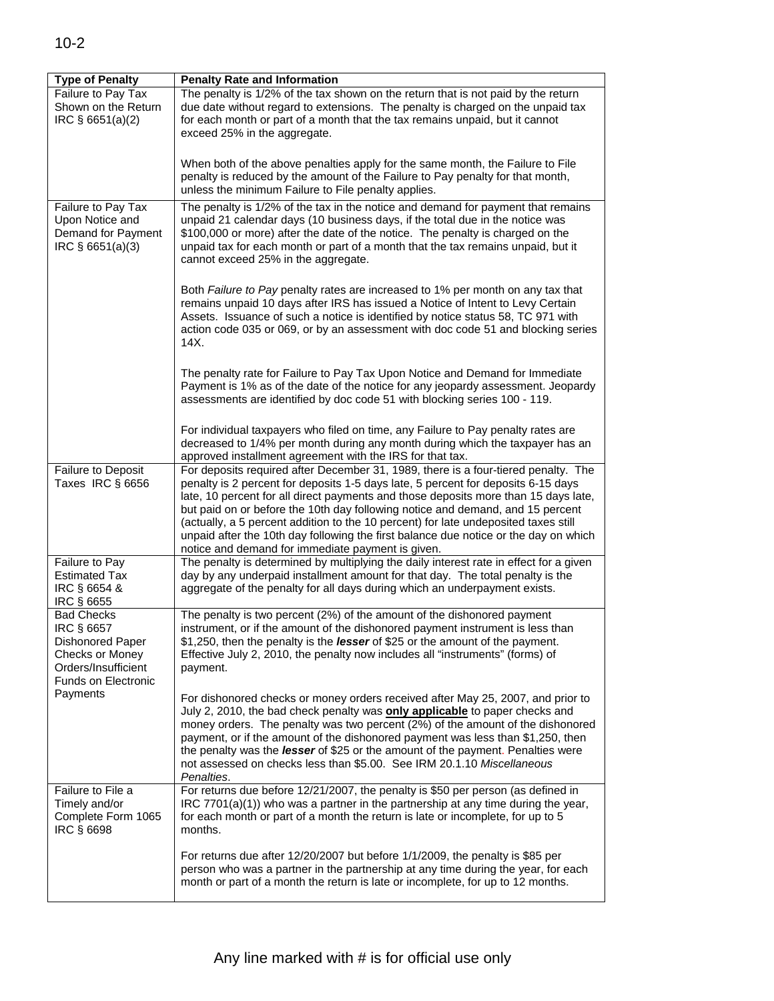| <b>Type of Penalty</b><br>Failure to Pay Tax<br>Shown on the Return<br>IRC § 6651(a)(2)                                     | <b>Penalty Rate and Information</b><br>The penalty is 1/2% of the tax shown on the return that is not paid by the return<br>due date without regard to extensions. The penalty is charged on the unpaid tax<br>for each month or part of a month that the tax remains unpaid, but it cannot<br>exceed 25% in the aggregate.                                                                                                                                                                                                                                                          |
|-----------------------------------------------------------------------------------------------------------------------------|--------------------------------------------------------------------------------------------------------------------------------------------------------------------------------------------------------------------------------------------------------------------------------------------------------------------------------------------------------------------------------------------------------------------------------------------------------------------------------------------------------------------------------------------------------------------------------------|
|                                                                                                                             | When both of the above penalties apply for the same month, the Failure to File<br>penalty is reduced by the amount of the Failure to Pay penalty for that month,<br>unless the minimum Failure to File penalty applies.                                                                                                                                                                                                                                                                                                                                                              |
| Failure to Pay Tax<br>Upon Notice and<br>Demand for Payment<br>IRC § 6651(a)(3)                                             | The penalty is 1/2% of the tax in the notice and demand for payment that remains<br>unpaid 21 calendar days (10 business days, if the total due in the notice was<br>\$100,000 or more) after the date of the notice. The penalty is charged on the<br>unpaid tax for each month or part of a month that the tax remains unpaid, but it<br>cannot exceed 25% in the aggregate.                                                                                                                                                                                                       |
|                                                                                                                             | Both Failure to Pay penalty rates are increased to 1% per month on any tax that<br>remains unpaid 10 days after IRS has issued a Notice of Intent to Levy Certain<br>Assets. Issuance of such a notice is identified by notice status 58, TC 971 with<br>action code 035 or 069, or by an assessment with doc code 51 and blocking series<br>14X.                                                                                                                                                                                                                                    |
|                                                                                                                             | The penalty rate for Failure to Pay Tax Upon Notice and Demand for Immediate<br>Payment is 1% as of the date of the notice for any jeopardy assessment. Jeopardy<br>assessments are identified by doc code 51 with blocking series 100 - 119.                                                                                                                                                                                                                                                                                                                                        |
|                                                                                                                             | For individual taxpayers who filed on time, any Failure to Pay penalty rates are<br>decreased to 1/4% per month during any month during which the taxpayer has an<br>approved installment agreement with the IRS for that tax.                                                                                                                                                                                                                                                                                                                                                       |
| Failure to Deposit<br>Taxes IRC § 6656                                                                                      | For deposits required after December 31, 1989, there is a four-tiered penalty. The<br>penalty is 2 percent for deposits 1-5 days late, 5 percent for deposits 6-15 days<br>late, 10 percent for all direct payments and those deposits more than 15 days late,<br>but paid on or before the 10th day following notice and demand, and 15 percent<br>(actually, a 5 percent addition to the 10 percent) for late undeposited taxes still<br>unpaid after the 10th day following the first balance due notice or the day on which<br>notice and demand for immediate payment is given. |
| Failure to Pay<br><b>Estimated Tax</b><br>IRC § 6654 &<br>IRC § 6655                                                        | The penalty is determined by multiplying the daily interest rate in effect for a given<br>day by any underpaid installment amount for that day. The total penalty is the<br>aggregate of the penalty for all days during which an underpayment exists.                                                                                                                                                                                                                                                                                                                               |
| <b>Bad Checks</b><br>IRC § 6657<br><b>Dishonored Paper</b><br>Checks or Money<br>Orders/Insufficient<br>Funds on Electronic | The penalty is two percent (2%) of the amount of the dishonored payment<br>instrument, or if the amount of the dishonored payment instrument is less than<br>\$1,250, then the penalty is the lesser of \$25 or the amount of the payment.<br>Effective July 2, 2010, the penalty now includes all "instruments" (forms) of<br>payment.                                                                                                                                                                                                                                              |
| Payments                                                                                                                    | For dishonored checks or money orders received after May 25, 2007, and prior to<br>July 2, 2010, the bad check penalty was <b>only applicable</b> to paper checks and<br>money orders. The penalty was two percent (2%) of the amount of the dishonored<br>payment, or if the amount of the dishonored payment was less than \$1,250, then<br>the penalty was the lesser of \$25 or the amount of the payment. Penalties were<br>not assessed on checks less than \$5.00. See IRM 20.1.10 Miscellaneous<br>Penalties.                                                                |
| Failure to File a<br>Timely and/or<br>Complete Form 1065<br>IRC § 6698                                                      | For returns due before 12/21/2007, the penalty is \$50 per person (as defined in<br>$\text{IRC } 7701(a)(1)$ who was a partner in the partnership at any time during the year,<br>for each month or part of a month the return is late or incomplete, for up to 5<br>months.                                                                                                                                                                                                                                                                                                         |
|                                                                                                                             | For returns due after 12/20/2007 but before 1/1/2009, the penalty is \$85 per<br>person who was a partner in the partnership at any time during the year, for each<br>month or part of a month the return is late or incomplete, for up to 12 months.                                                                                                                                                                                                                                                                                                                                |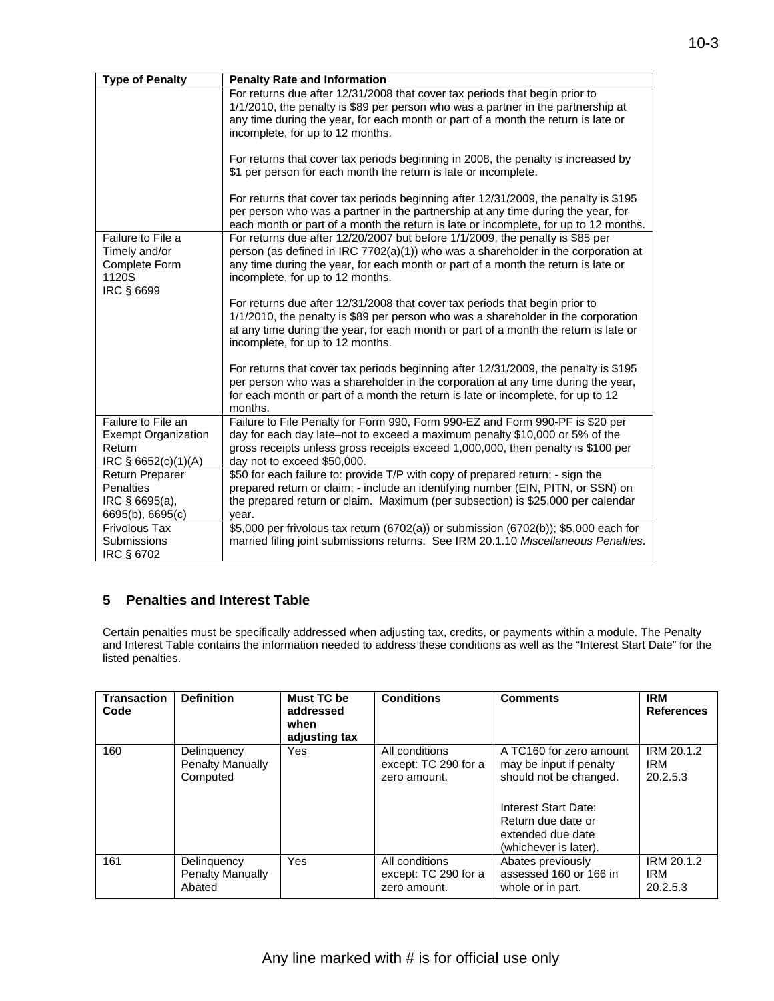| <b>Type of Penalty</b>     | <b>Penalty Rate and Information</b>                                                  |
|----------------------------|--------------------------------------------------------------------------------------|
|                            | For returns due after 12/31/2008 that cover tax periods that begin prior to          |
|                            | 1/1/2010, the penalty is \$89 per person who was a partner in the partnership at     |
|                            | any time during the year, for each month or part of a month the return is late or    |
|                            | incomplete, for up to 12 months.                                                     |
|                            |                                                                                      |
|                            | For returns that cover tax periods beginning in 2008, the penalty is increased by    |
|                            | \$1 per person for each month the return is late or incomplete.                      |
|                            | For returns that cover tax periods beginning after 12/31/2009, the penalty is \$195  |
|                            | per person who was a partner in the partnership at any time during the year, for     |
|                            | each month or part of a month the return is late or incomplete, for up to 12 months. |
| Failure to File a          | For returns due after 12/20/2007 but before 1/1/2009, the penalty is \$85 per        |
| Timely and/or              | person (as defined in IRC 7702(a)(1)) who was a shareholder in the corporation at    |
| Complete Form              | any time during the year, for each month or part of a month the return is late or    |
| 1120S                      | incomplete, for up to 12 months.                                                     |
| IRC § 6699                 |                                                                                      |
|                            | For returns due after 12/31/2008 that cover tax periods that begin prior to          |
|                            | 1/1/2010, the penalty is \$89 per person who was a shareholder in the corporation    |
|                            | at any time during the year, for each month or part of a month the return is late or |
|                            | incomplete, for up to 12 months.                                                     |
|                            |                                                                                      |
|                            | For returns that cover tax periods beginning after 12/31/2009, the penalty is \$195  |
|                            | per person who was a shareholder in the corporation at any time during the year,     |
|                            | for each month or part of a month the return is late or incomplete, for up to 12     |
|                            | months.                                                                              |
| Failure to File an         | Failure to File Penalty for Form 990, Form 990-EZ and Form 990-PF is \$20 per        |
| <b>Exempt Organization</b> | day for each day late-not to exceed a maximum penalty \$10,000 or 5% of the          |
| Return                     | gross receipts unless gross receipts exceed 1,000,000, then penalty is \$100 per     |
| IRC § 6652(c)(1)(A)        | day not to exceed \$50,000.                                                          |
| <b>Return Preparer</b>     | \$50 for each failure to: provide T/P with copy of prepared return; - sign the       |
| Penalties                  | prepared return or claim; - include an identifying number (EIN, PITN, or SSN) on     |
| IRC § 6695(a),             | the prepared return or claim. Maximum (per subsection) is \$25,000 per calendar      |
| 6695(b), 6695(c)           | year.                                                                                |
| <b>Frivolous Tax</b>       | \$5,000 per frivolous tax return (6702(a)) or submission (6702(b)); \$5,000 each for |
| <b>Submissions</b>         | married filing joint submissions returns. See IRM 20.1.10 Miscellaneous Penalties.   |
| IRC § 6702                 |                                                                                      |

## **5 Penalties and Interest Table**

Certain penalties must be specifically addressed when adjusting tax, credits, or payments within a module. The Penalty and Interest Table contains the information needed to address these conditions as well as the "Interest Start Date" for the listed penalties.

| <b>Transaction</b><br>Code | <b>Definition</b>                                  | Must TC be<br>addressed<br>when<br>adjusting tax | <b>Conditions</b>                                      | <b>Comments</b>                                                                                                                                                          | <b>IRM</b><br><b>References</b>      |
|----------------------------|----------------------------------------------------|--------------------------------------------------|--------------------------------------------------------|--------------------------------------------------------------------------------------------------------------------------------------------------------------------------|--------------------------------------|
| 160                        | Delinguency<br><b>Penalty Manually</b><br>Computed | Yes                                              | All conditions<br>except: TC 290 for a<br>zero amount. | A TC160 for zero amount<br>may be input if penalty<br>should not be changed.<br>Interest Start Date:<br>Return due date or<br>extended due date<br>(whichever is later). | IRM 20.1.2<br><b>IRM</b><br>20.2.5.3 |
| 161                        | Delinguency<br>Penalty Manually<br>Abated          | Yes                                              | All conditions<br>except: TC 290 for a<br>zero amount. | Abates previously<br>assessed 160 or 166 in<br>whole or in part.                                                                                                         | IRM 20.1.2<br><b>IRM</b><br>20.2.5.3 |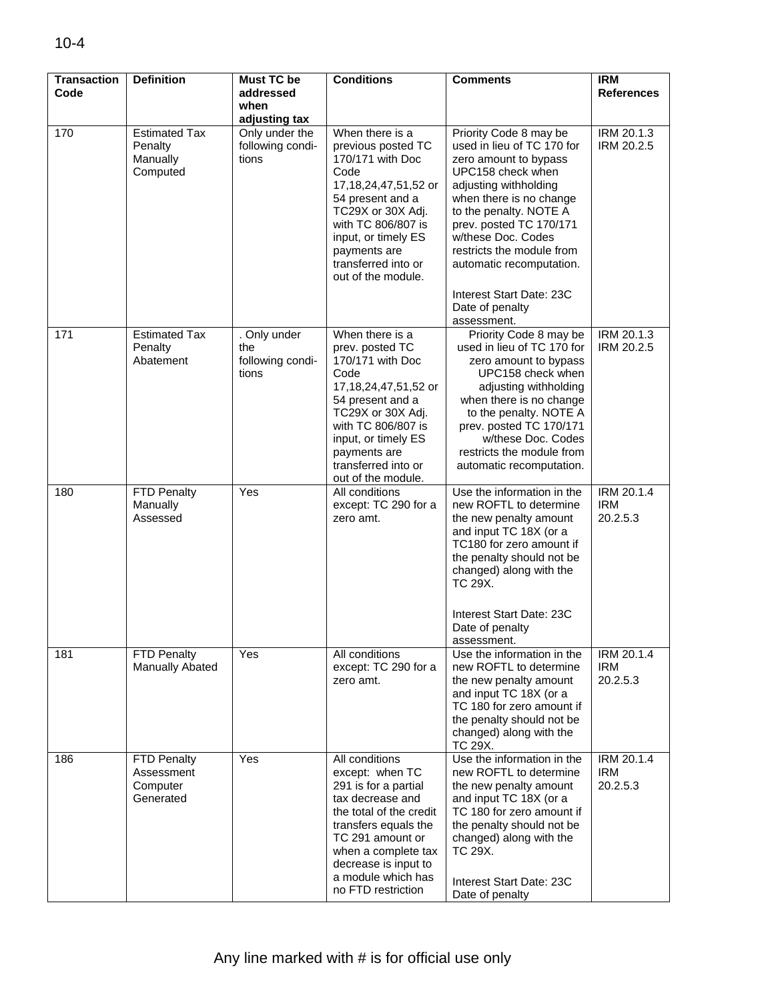| <b>Transaction</b> | <b>Definition</b>                                       | <b>Must TC be</b>                                | <b>Conditions</b>                                                                                                                                                                                                                               | <b>Comments</b>                                                                                                                                                                                                                                                                            | <b>IRM</b>                           |
|--------------------|---------------------------------------------------------|--------------------------------------------------|-------------------------------------------------------------------------------------------------------------------------------------------------------------------------------------------------------------------------------------------------|--------------------------------------------------------------------------------------------------------------------------------------------------------------------------------------------------------------------------------------------------------------------------------------------|--------------------------------------|
| Code               |                                                         | addressed                                        |                                                                                                                                                                                                                                                 |                                                                                                                                                                                                                                                                                            | <b>References</b>                    |
|                    |                                                         | when<br>adjusting tax                            |                                                                                                                                                                                                                                                 |                                                                                                                                                                                                                                                                                            |                                      |
| 170                | <b>Estimated Tax</b><br>Penalty<br>Manually<br>Computed | Only under the<br>following condi-<br>tions      | When there is a<br>previous posted TC<br>170/171 with Doc<br>Code<br>17,18,24,47,51,52 or<br>54 present and a                                                                                                                                   | Priority Code 8 may be<br>used in lieu of TC 170 for<br>zero amount to bypass<br>UPC158 check when<br>adjusting withholding<br>when there is no change                                                                                                                                     | IRM 20.1.3<br>IRM 20.2.5             |
|                    |                                                         |                                                  | TC29X or 30X Adj.<br>with TC 806/807 is<br>input, or timely ES<br>payments are<br>transferred into or<br>out of the module.                                                                                                                     | to the penalty. NOTE A<br>prev. posted TC 170/171<br>w/these Doc. Codes<br>restricts the module from<br>automatic recomputation.                                                                                                                                                           |                                      |
|                    |                                                         |                                                  |                                                                                                                                                                                                                                                 | Interest Start Date: 23C<br>Date of penalty<br>assessment.                                                                                                                                                                                                                                 |                                      |
| 171                | <b>Estimated Tax</b><br>Penalty<br>Abatement            | . Only under<br>the<br>following condi-<br>tions | When there is a<br>prev. posted TC<br>170/171 with Doc<br>Code<br>17,18,24,47,51,52 or<br>54 present and a<br>TC29X or 30X Adj.<br>with TC 806/807 is<br>input, or timely ES<br>payments are<br>transferred into or<br>out of the module.       | Priority Code 8 may be<br>used in lieu of TC 170 for<br>zero amount to bypass<br>UPC158 check when<br>adjusting withholding<br>when there is no change<br>to the penalty. NOTE A<br>prev. posted TC 170/171<br>w/these Doc. Codes<br>restricts the module from<br>automatic recomputation. | IRM 20.1.3<br>IRM 20.2.5             |
| 180                | FTD Penalty<br>Manually<br>Assessed                     | Yes                                              | All conditions<br>except: TC 290 for a<br>zero amt.                                                                                                                                                                                             | Use the information in the<br>new ROFTL to determine<br>the new penalty amount<br>and input TC 18X (or a<br>TC180 for zero amount if<br>the penalty should not be<br>changed) along with the<br>TC 29X.<br>Interest Start Date: 23C<br>Date of penalty<br>assessment.                      | IRM 20.1.4<br><b>IRM</b><br>20.2.5.3 |
| 181                | FTD Penalty<br>Manually Abated                          | Yes                                              | All conditions<br>except: TC 290 for a<br>zero amt.                                                                                                                                                                                             | Use the information in the<br>new ROFTL to determine<br>the new penalty amount<br>and input TC 18X (or a<br>TC 180 for zero amount if<br>the penalty should not be<br>changed) along with the<br>TC 29X.                                                                                   | IRM 20.1.4<br><b>IRM</b><br>20.2.5.3 |
| 186                | FTD Penalty<br>Assessment<br>Computer<br>Generated      | Yes                                              | All conditions<br>except: when TC<br>291 is for a partial<br>tax decrease and<br>the total of the credit<br>transfers equals the<br>TC 291 amount or<br>when a complete tax<br>decrease is input to<br>a module which has<br>no FTD restriction | Use the information in the<br>new ROFTL to determine<br>the new penalty amount<br>and input TC 18X (or a<br>TC 180 for zero amount if<br>the penalty should not be<br>changed) along with the<br>TC 29X.<br>Interest Start Date: 23C<br>Date of penalty                                    | IRM 20.1.4<br><b>IRM</b><br>20.2.5.3 |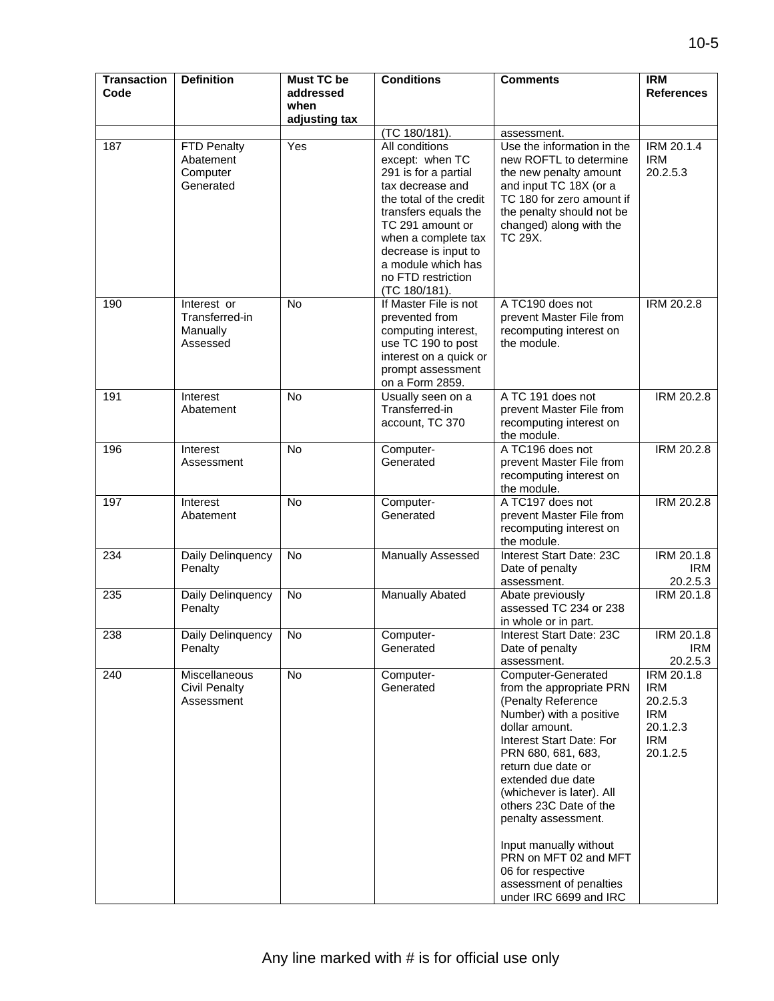| <b>Transaction</b><br>Code | <b>Definition</b>                                     | <b>Must TC be</b><br>addressed | <b>Conditions</b>                                                                                                                                                                                                                                                | <b>Comments</b>                                                                                                                                                                                                                                                                                                                                                                                                                  | <b>IRM</b><br><b>References</b>                                                   |
|----------------------------|-------------------------------------------------------|--------------------------------|------------------------------------------------------------------------------------------------------------------------------------------------------------------------------------------------------------------------------------------------------------------|----------------------------------------------------------------------------------------------------------------------------------------------------------------------------------------------------------------------------------------------------------------------------------------------------------------------------------------------------------------------------------------------------------------------------------|-----------------------------------------------------------------------------------|
|                            |                                                       | when                           |                                                                                                                                                                                                                                                                  |                                                                                                                                                                                                                                                                                                                                                                                                                                  |                                                                                   |
|                            |                                                       | adjusting tax                  | (TC 180/181).                                                                                                                                                                                                                                                    | assessment.                                                                                                                                                                                                                                                                                                                                                                                                                      |                                                                                   |
| 187                        | FTD Penalty<br>Abatement<br>Computer<br>Generated     | Yes                            | All conditions<br>except: when TC<br>291 is for a partial<br>tax decrease and<br>the total of the credit<br>transfers equals the<br>TC 291 amount or<br>when a complete tax<br>decrease is input to<br>a module which has<br>no FTD restriction<br>(TC 180/181). | Use the information in the<br>new ROFTL to determine<br>the new penalty amount<br>and input TC 18X (or a<br>TC 180 for zero amount if<br>the penalty should not be<br>changed) along with the<br>TC 29X.                                                                                                                                                                                                                         | IRM 20.1.4<br><b>IRM</b><br>20.2.5.3                                              |
| 190                        | Interest or<br>Transferred-in<br>Manually<br>Assessed | <b>No</b>                      | If Master File is not<br>prevented from<br>computing interest,<br>use TC 190 to post<br>interest on a quick or<br>prompt assessment<br>on a Form 2859.                                                                                                           | A TC190 does not<br>prevent Master File from<br>recomputing interest on<br>the module.                                                                                                                                                                                                                                                                                                                                           | IRM 20.2.8                                                                        |
| 191                        | Interest<br>Abatement                                 | <b>No</b>                      | Usually seen on a<br>Transferred-in<br>account, TC 370                                                                                                                                                                                                           | A TC 191 does not<br>prevent Master File from<br>recomputing interest on<br>the module.                                                                                                                                                                                                                                                                                                                                          | IRM 20.2.8                                                                        |
| 196                        | Interest<br>Assessment                                | <b>No</b>                      | Computer-<br>Generated                                                                                                                                                                                                                                           | A TC196 does not<br>prevent Master File from<br>recomputing interest on<br>the module.                                                                                                                                                                                                                                                                                                                                           | IRM 20.2.8                                                                        |
| 197                        | Interest<br>Abatement                                 | No                             | Computer-<br>Generated                                                                                                                                                                                                                                           | A TC197 does not<br>prevent Master File from<br>recomputing interest on<br>the module.                                                                                                                                                                                                                                                                                                                                           | <b>IRM 20.2.8</b>                                                                 |
| 234                        | Daily Delinquency<br>Penalty                          | No                             | Manually Assessed                                                                                                                                                                                                                                                | Interest Start Date: 23C<br>Date of penalty<br>assessment.                                                                                                                                                                                                                                                                                                                                                                       | IRM 20.1.8<br><b>IRM</b><br>20.2.5.3                                              |
| 235                        | Daily Delinquency<br>Penalty                          | No                             | Manually Abated                                                                                                                                                                                                                                                  | Abate previously<br>assessed TC 234 or 238<br>in whole or in part.                                                                                                                                                                                                                                                                                                                                                               | IRM 20.1.8                                                                        |
| 238                        | Daily Delinquency<br>Penalty                          | No                             | Computer-<br>Generated                                                                                                                                                                                                                                           | Interest Start Date: 23C<br>Date of penalty<br>assessment.                                                                                                                                                                                                                                                                                                                                                                       | IRM 20.1.8<br><b>IRM</b><br>20.2.5.3                                              |
| 240                        | Miscellaneous<br><b>Civil Penalty</b><br>Assessment   | No                             | Computer-<br>Generated                                                                                                                                                                                                                                           | <b>Computer-Generated</b><br>from the appropriate PRN<br>(Penalty Reference<br>Number) with a positive<br>dollar amount.<br>Interest Start Date: For<br>PRN 680, 681, 683,<br>return due date or<br>extended due date<br>(whichever is later). All<br>others 23C Date of the<br>penalty assessment.<br>Input manually without<br>PRN on MFT 02 and MFT<br>06 for respective<br>assessment of penalties<br>under IRC 6699 and IRC | IRM 20.1.8<br><b>IRM</b><br>20.2.5.3<br><b>IRM</b><br>20.1.2.3<br>IRM<br>20.1.2.5 |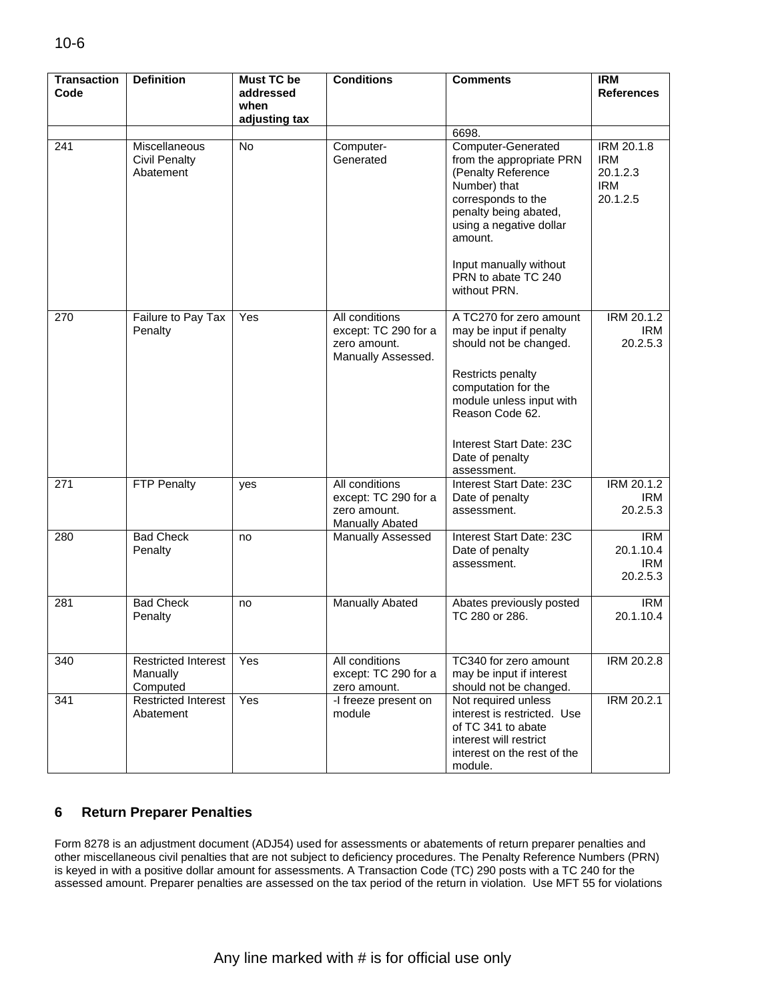| <b>Transaction</b><br>Code | <b>Definition</b>                                  | <b>Must TC be</b><br>addressed<br>when | <b>Conditions</b>                                                            | <b>Comments</b>                                                                                                                                                                                                                                     | <b>IRM</b><br><b>References</b>                                |
|----------------------------|----------------------------------------------------|----------------------------------------|------------------------------------------------------------------------------|-----------------------------------------------------------------------------------------------------------------------------------------------------------------------------------------------------------------------------------------------------|----------------------------------------------------------------|
|                            |                                                    | adjusting tax                          |                                                                              |                                                                                                                                                                                                                                                     |                                                                |
| 241                        | Miscellaneous<br><b>Civil Penalty</b><br>Abatement | No                                     | Computer-<br>Generated                                                       | 6698.<br>Computer-Generated<br>from the appropriate PRN<br>(Penalty Reference<br>Number) that<br>corresponds to the<br>penalty being abated,<br>using a negative dollar<br>amount.<br>Input manually without<br>PRN to abate TC 240<br>without PRN. | IRM 20.1.8<br><b>IRM</b><br>20.1.2.3<br><b>IRM</b><br>20.1.2.5 |
| 270                        | Failure to Pay Tax<br>Penalty                      | Yes                                    | All conditions<br>except: TC 290 for a<br>zero amount.<br>Manually Assessed. | A TC270 for zero amount<br>may be input if penalty<br>should not be changed.<br><b>Restricts penalty</b><br>computation for the<br>module unless input with<br>Reason Code 62.<br>Interest Start Date: 23C<br>Date of penalty<br>assessment.        | IRM 20.1.2<br>IRM<br>20.2.5.3                                  |
| 271                        | FTP Penalty                                        | yes                                    | All conditions<br>except: TC 290 for a<br>zero amount.<br>Manually Abated    | Interest Start Date: 23C<br>Date of penalty<br>assessment.                                                                                                                                                                                          | IRM 20.1.2<br>IRM<br>20.2.5.3                                  |
| 280                        | <b>Bad Check</b><br>Penalty                        | no                                     | Manually Assessed                                                            | Interest Start Date: 23C<br>Date of penalty<br>assessment.                                                                                                                                                                                          | <b>IRM</b><br>20.1.10.4<br><b>IRM</b><br>20.2.5.3              |
| 281                        | <b>Bad Check</b><br>Penalty                        | no                                     | Manually Abated                                                              | Abates previously posted<br>TC 280 or 286.                                                                                                                                                                                                          | <b>IRM</b><br>20.1.10.4                                        |
| 340                        | <b>Restricted Interest</b><br>Manually<br>Computed | Yes                                    | All conditions<br>except: TC 290 for a<br>zero amount.                       | TC340 for zero amount<br>may be input if interest<br>should not be changed.                                                                                                                                                                         | <b>IRM 20.2.8</b>                                              |
| 341                        | <b>Restricted Interest</b><br>Abatement            | Yes                                    | -I freeze present on<br>module                                               | Not required unless<br>interest is restricted. Use<br>of TC 341 to abate<br>interest will restrict<br>interest on the rest of the<br>module.                                                                                                        | IRM 20.2.1                                                     |

## **6 Return Preparer Penalties**

Form 8278 is an adjustment document (ADJ54) used for assessments or abatements of return preparer penalties and other miscellaneous civil penalties that are not subject to deficiency procedures. The Penalty Reference Numbers (PRN) is keyed in with a positive dollar amount for assessments. A Transaction Code (TC) 290 posts with a TC 240 for the assessed amount. Preparer penalties are assessed on the tax period of the return in violation. Use MFT 55 for violations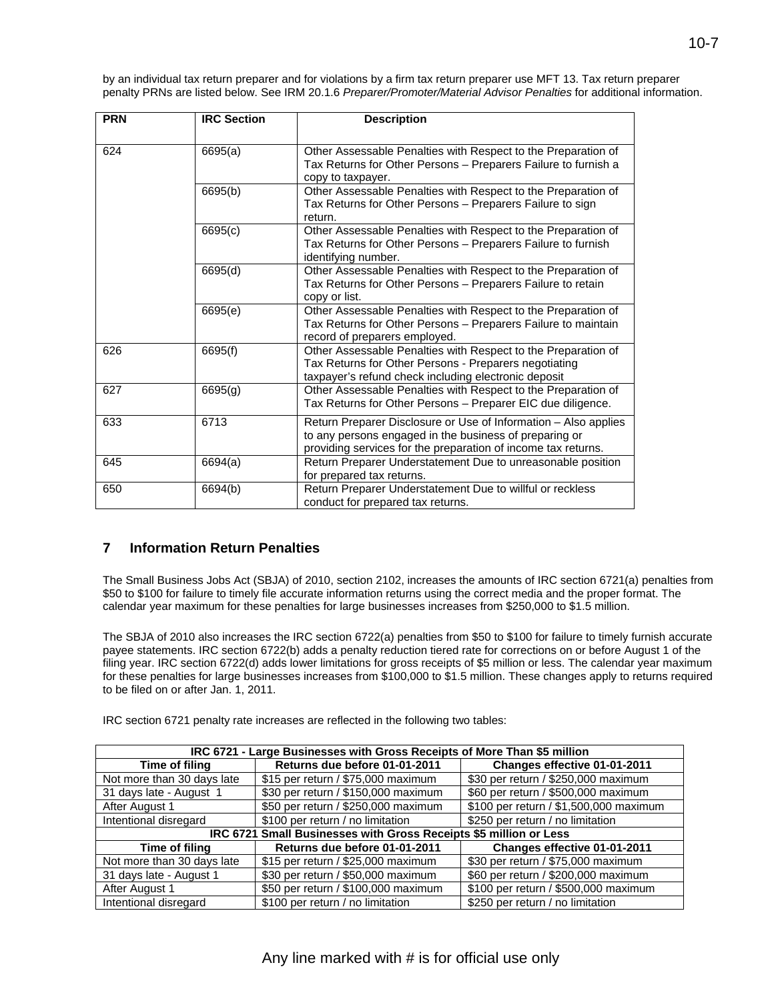by an individual tax return preparer and for violations by a firm tax return preparer use MFT 13. Tax return preparer penalty PRNs are listed below. See IRM 20.1.6 *Preparer/Promoter/Material Advisor Penalties* for additional information.

| <b>PRN</b> | <b>IRC Section</b> | <b>Description</b>                                                                                                                                                                         |
|------------|--------------------|--------------------------------------------------------------------------------------------------------------------------------------------------------------------------------------------|
| 624        | 6695(a)            | Other Assessable Penalties with Respect to the Preparation of<br>Tax Returns for Other Persons - Preparers Failure to furnish a<br>copy to taxpayer.                                       |
|            | 6695(b)            | Other Assessable Penalties with Respect to the Preparation of<br>Tax Returns for Other Persons - Preparers Failure to sign<br>return.                                                      |
|            | 6695(c)            | Other Assessable Penalties with Respect to the Preparation of<br>Tax Returns for Other Persons - Preparers Failure to furnish<br>identifying number.                                       |
|            | 6695(d)            | Other Assessable Penalties with Respect to the Preparation of<br>Tax Returns for Other Persons - Preparers Failure to retain<br>copy or list.                                              |
|            | 6695(e)            | Other Assessable Penalties with Respect to the Preparation of<br>Tax Returns for Other Persons - Preparers Failure to maintain<br>record of preparers employed.                            |
| 626        | 6695(f)            | Other Assessable Penalties with Respect to the Preparation of<br>Tax Returns for Other Persons - Preparers negotiating<br>taxpayer's refund check including electronic deposit             |
| 627        | 6695(g)            | Other Assessable Penalties with Respect to the Preparation of<br>Tax Returns for Other Persons - Preparer EIC due diligence.                                                               |
| 633        | 6713               | Return Preparer Disclosure or Use of Information - Also applies<br>to any persons engaged in the business of preparing or<br>providing services for the preparation of income tax returns. |
| 645        | 6694(a)            | Return Preparer Understatement Due to unreasonable position<br>for prepared tax returns.                                                                                                   |
| 650        | 6694(b)            | Return Preparer Understatement Due to willful or reckless<br>conduct for prepared tax returns.                                                                                             |

#### **Information Return Penalties 7**

The Small Business Jobs Act (SBJA) of 2010, section 2102, increases the amounts of IRC section 6721(a) penalties from \$50 to \$100 for failure to timely file accurate information returns using the correct media and the proper format. The calendar year maximum for these penalties for large businesses increases from \$250,000 to \$1.5 million.

The SBJA of 2010 also increases the IRC section 6722(a) penalties from \$50 to \$100 for failure to timely furnish accurate payee statements. IRC section 6722(b) adds a penalty reduction tiered rate for corrections on or before August 1 of the filing year. IRC section 6722(d) adds lower limitations for gross receipts of \$5 million or less. The calendar year maximum for these penalties for large businesses increases from \$100,000 to \$1.5 million. These changes apply to returns required to be filed on or after Jan. 1, 2011.

IRC section 6721 penalty rate increases are reflected in the following two tables:

|                            | IRC 6721 - Large Businesses with Gross Receipts of More Than \$5 million |                                        |
|----------------------------|--------------------------------------------------------------------------|----------------------------------------|
| Time of filing             | Returns due before 01-01-2011                                            | Changes effective 01-01-2011           |
| Not more than 30 days late | \$15 per return / \$75,000 maximum                                       | \$30 per return / \$250,000 maximum    |
| 31 days late - August 1    | \$30 per return / \$150,000 maximum                                      | \$60 per return / \$500,000 maximum    |
| After August 1             | \$50 per return / \$250,000 maximum                                      | \$100 per return / \$1,500,000 maximum |
| Intentional disregard      | \$100 per return / no limitation                                         | \$250 per return / no limitation       |
|                            | IRC 6721 Small Businesses with Gross Receipts \$5 million or Less        |                                        |
| Time of filing             | Returns due before 01-01-2011                                            | Changes effective 01-01-2011           |
| Not more than 30 days late | \$15 per return / \$25,000 maximum                                       | \$30 per return / \$75,000 maximum     |
| 31 days late - August 1    | \$30 per return / \$50,000 maximum                                       | \$60 per return / \$200,000 maximum    |
| After August 1             | \$50 per return / \$100,000 maximum                                      | \$100 per return / \$500,000 maximum   |
| Intentional disregard      | \$100 per return / no limitation                                         | \$250 per return / no limitation       |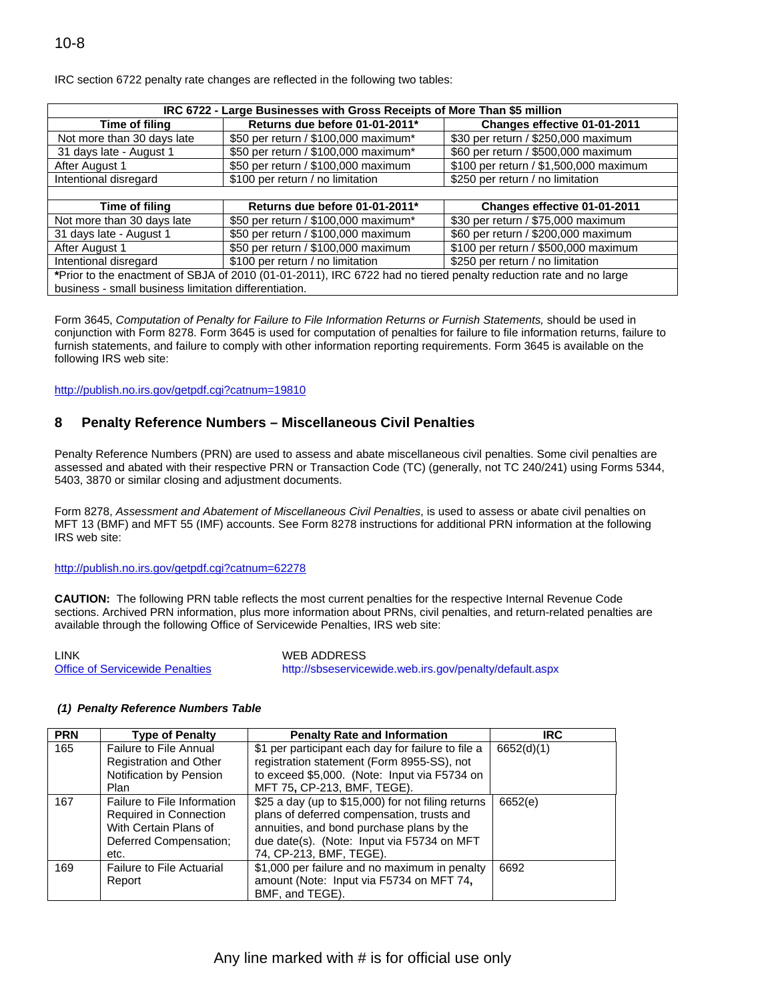|                            | IRC 6722 - Large Businesses with Gross Receipts of More Than \$5 million                                         |                                        |
|----------------------------|------------------------------------------------------------------------------------------------------------------|----------------------------------------|
| Time of filing             | Returns due before 01-01-2011*                                                                                   | Changes effective 01-01-2011           |
| Not more than 30 days late | \$50 per return / \$100,000 maximum*                                                                             | \$30 per return / \$250,000 maximum    |
| 31 days late - August 1    | \$50 per return / \$100,000 maximum*                                                                             | \$60 per return / \$500,000 maximum    |
| After August 1             | \$50 per return / \$100,000 maximum                                                                              | \$100 per return / \$1,500,000 maximum |
| Intentional disregard      | \$100 per return / no limitation                                                                                 | \$250 per return / no limitation       |
|                            |                                                                                                                  |                                        |
|                            |                                                                                                                  |                                        |
| Time of filing             | Returns due before 01-01-2011*                                                                                   | Changes effective 01-01-2011           |
| Not more than 30 days late | \$50 per return / \$100,000 maximum*                                                                             | \$30 per return / \$75,000 maximum     |
| 31 days late - August 1    | \$50 per return / \$100,000 maximum                                                                              | \$60 per return / \$200,000 maximum    |
| After August 1             | \$50 per return / \$100,000 maximum                                                                              | \$100 per return / \$500,000 maximum   |
| Intentional disregard      | \$100 per return / no limitation                                                                                 | \$250 per return / no limitation       |
|                            | *Prior to the enactment of SBJA of 2010 (01-01-2011), IRC 6722 had no tiered penalty reduction rate and no large |                                        |

IRC section 6722 penalty rate changes are reflected in the following two tables:

Form 3645, *Computation of Penalty for Failure to File Information Returns or Furnish Statements,* should be used in conjunction with Form 8278. Form 3645 is used for computation of penalties for failure to file information returns, failure to furnish statements, and failure to comply with other information reporting requirements. Form 3645 is available on the following IRS web site:

<http://publish.no.irs.gov/getpdf.cgi?catnum=19810>

#### **8 Penalty Reference Numbers – Miscellaneous Civil Penalties**

Penalty Reference Numbers (PRN) are used to assess and abate miscellaneous civil penalties. Some civil penalties are assessed and abated with their respective PRN or Transaction Code (TC) (generally, not TC 240/241) using Forms 5344, 5403, 3870 or similar closing and adjustment documents.

Form 8278, *Assessment and Abatement of Miscellaneous Civil Penalties*, is used to assess or abate civil penalties on MFT 13 (BMF) and MFT 55 (IMF) accounts. See Form 8278 instructions for additional PRN information at the following IRS web site:

#### <http://publish.no.irs.gov/getpdf.cgi?catnum=62278>

**CAUTION:** The following PRN table reflects the most current penalties for the respective Internal Revenue Code sections. Archived PRN information, plus more information about PRNs, civil penalties, and return-related penalties are available through the following Office of Servicewide Penalties, IRS web site:

LINK WEB ADDRESS [Office of Servicewide Penalties](http://sbseservicewide.web.irs.gov/penalty/default.aspx) <http://sbseservicewide.web.irs.gov/penalty/default.aspx>

#### **PRN Penalty Penalty Rate and Information IRC** 165 **Failure to File Annual** Registration and Other Notification by Pension Plan \$1 per participant each day for failure to file a registration statement (Form 8955-SS), not to exceed \$5,000. (Note: Input via F5734 on MFT 75**,** CP-213, BMF, TEGE). 6652(d)(1) 167 | Failure to File Information Required in Connection With Certain Plans of Deferred Compensation; etc. \$25 a day (up to \$15,000) for not filing returns plans of deferred compensation, trusts and annuities, and bond purchase plans by the due date(s). (Note: Input via F5734 on MFT 74, CP-213, BMF, TEGE). 6652(e) 169 Failure to File Actuarial Report \$1,000 per failure and no maximum in penalty amount (Note: Input via F5734 on MFT 74**,**  BMF, and TEGE). 6692

#### *(1) Penalty Reference Numbers Table*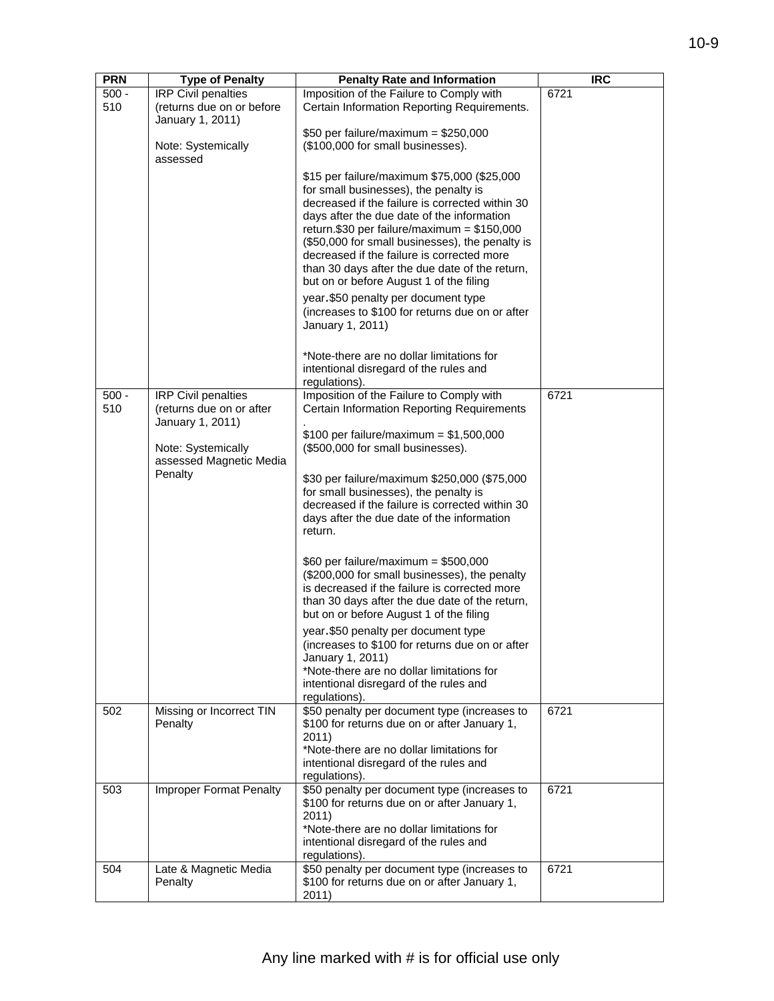| <b>PRN</b>     | <b>Type of Penalty</b>                                  | <b>Penalty Rate and Information</b>                                                            | <b>IRC</b> |
|----------------|---------------------------------------------------------|------------------------------------------------------------------------------------------------|------------|
| $500 -$<br>510 | <b>IRP Civil penalties</b><br>(returns due on or before | Imposition of the Failure to Comply with<br>Certain Information Reporting Requirements.        | 6721       |
|                | January 1, 2011)                                        | $$50$ per failure/maximum = \$250,000                                                          |            |
|                | Note: Systemically<br>assessed                          | (\$100,000 for small businesses).                                                              |            |
|                |                                                         | \$15 per failure/maximum \$75,000 (\$25,000                                                    |            |
|                |                                                         | for small businesses), the penalty is<br>decreased if the failure is corrected within 30       |            |
|                |                                                         | days after the due date of the information                                                     |            |
|                |                                                         | return.\$30 per failure/maximum = $$150,000$                                                   |            |
|                |                                                         | (\$50,000 for small businesses), the penalty is<br>decreased if the failure is corrected more  |            |
|                |                                                         | than 30 days after the due date of the return,                                                 |            |
|                |                                                         | but on or before August 1 of the filing                                                        |            |
|                |                                                         | year.\$50 penalty per document type<br>(increases to \$100 for returns due on or after         |            |
|                |                                                         | January 1, 2011)                                                                               |            |
|                |                                                         | *Note-there are no dollar limitations for<br>intentional disregard of the rules and            |            |
|                |                                                         | regulations).                                                                                  |            |
| $500 -$<br>510 | <b>IRP Civil penalties</b><br>(returns due on or after  | Imposition of the Failure to Comply with<br><b>Certain Information Reporting Requirements</b>  | 6721       |
|                | January 1, 2011)                                        |                                                                                                |            |
|                |                                                         | \$100 per failure/maximum = $$1,500,000$                                                       |            |
|                | Note: Systemically<br>assessed Magnetic Media           | (\$500,000 for small businesses).                                                              |            |
|                | Penalty                                                 | \$30 per failure/maximum \$250,000 (\$75,000                                                   |            |
|                |                                                         | for small businesses), the penalty is<br>decreased if the failure is corrected within 30       |            |
|                |                                                         | days after the due date of the information                                                     |            |
|                |                                                         | return.                                                                                        |            |
|                |                                                         | \$60 per failure/maximum = $$500,000$                                                          |            |
|                |                                                         | (\$200,000 for small businesses), the penalty<br>is decreased if the failure is corrected more |            |
|                |                                                         | than 30 days after the due date of the return,                                                 |            |
|                |                                                         | but on or before August 1 of the filing                                                        |            |
|                |                                                         | year.\$50 penalty per document type<br>(increases to \$100 for returns due on or after         |            |
|                |                                                         | January 1, 2011)                                                                               |            |
|                |                                                         | *Note-there are no dollar limitations for<br>intentional disregard of the rules and            |            |
|                |                                                         | regulations).                                                                                  |            |
| 502            | Missing or Incorrect TIN<br>Penalty                     | \$50 penalty per document type (increases to<br>\$100 for returns due on or after January 1,   | 6721       |
|                |                                                         | 2011)                                                                                          |            |
|                |                                                         | *Note-there are no dollar limitations for<br>intentional disregard of the rules and            |            |
|                |                                                         | regulations).                                                                                  |            |
| 503            | <b>Improper Format Penalty</b>                          | \$50 penalty per document type (increases to<br>\$100 for returns due on or after January 1,   | 6721       |
|                |                                                         | 2011)                                                                                          |            |
|                |                                                         | *Note-there are no dollar limitations for                                                      |            |
|                |                                                         | intentional disregard of the rules and<br>regulations).                                        |            |
| 504            | Late & Magnetic Media                                   | \$50 penalty per document type (increases to                                                   | 6721       |
|                | Penalty                                                 | \$100 for returns due on or after January 1,<br>2011)                                          |            |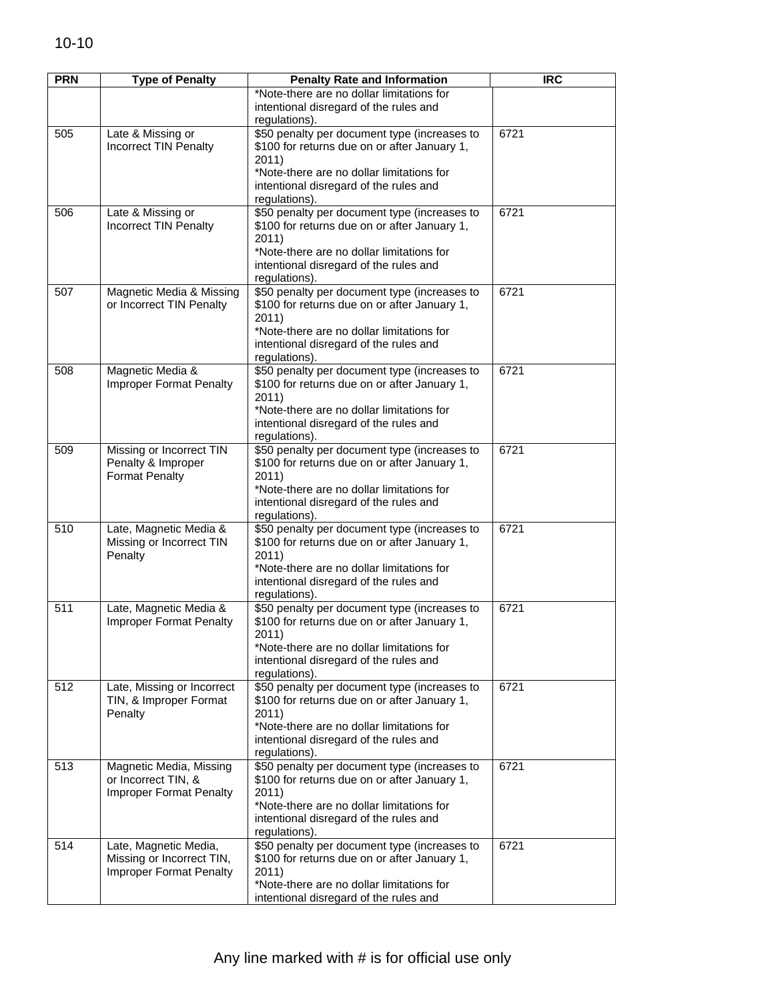| <b>PRN</b> | <b>Type of Penalty</b>         | <b>Penalty Rate and Information</b>          | <b>IRC</b> |
|------------|--------------------------------|----------------------------------------------|------------|
|            |                                | *Note-there are no dollar limitations for    |            |
|            |                                |                                              |            |
|            |                                | intentional disregard of the rules and       |            |
|            |                                | regulations).                                |            |
| 505        | Late & Missing or              | \$50 penalty per document type (increases to | 6721       |
|            | <b>Incorrect TIN Penalty</b>   | \$100 for returns due on or after January 1, |            |
|            |                                | 2011)                                        |            |
|            |                                | *Note-there are no dollar limitations for    |            |
|            |                                | intentional disregard of the rules and       |            |
|            |                                | regulations).                                |            |
| 506        | Late & Missing or              | \$50 penalty per document type (increases to | 6721       |
|            | Incorrect TIN Penalty          | \$100 for returns due on or after January 1, |            |
|            |                                | 2011)                                        |            |
|            |                                | *Note-there are no dollar limitations for    |            |
|            |                                | intentional disregard of the rules and       |            |
|            |                                | regulations).                                |            |
| 507        | Magnetic Media & Missing       | \$50 penalty per document type (increases to | 6721       |
|            | or Incorrect TIN Penalty       | \$100 for returns due on or after January 1, |            |
|            |                                | 2011)                                        |            |
|            |                                | *Note-there are no dollar limitations for    |            |
|            |                                | intentional disregard of the rules and       |            |
|            |                                | regulations).                                |            |
| 508        | Magnetic Media &               | \$50 penalty per document type (increases to | 6721       |
|            | <b>Improper Format Penalty</b> | \$100 for returns due on or after January 1, |            |
|            |                                | 2011)                                        |            |
|            |                                | *Note-there are no dollar limitations for    |            |
|            |                                |                                              |            |
|            |                                | intentional disregard of the rules and       |            |
|            |                                | regulations).                                |            |
| 509        | Missing or Incorrect TIN       | \$50 penalty per document type (increases to | 6721       |
|            | Penalty & Improper             | \$100 for returns due on or after January 1, |            |
|            | <b>Format Penalty</b>          | 2011)                                        |            |
|            |                                | *Note-there are no dollar limitations for    |            |
|            |                                | intentional disregard of the rules and       |            |
|            |                                | regulations).                                |            |
| 510        | Late, Magnetic Media &         | \$50 penalty per document type (increases to | 6721       |
|            | Missing or Incorrect TIN       | \$100 for returns due on or after January 1, |            |
|            | Penalty                        | 2011)                                        |            |
|            |                                | *Note-there are no dollar limitations for    |            |
|            |                                | intentional disregard of the rules and       |            |
|            |                                | regulations).                                |            |
| 511        | Late, Magnetic Media &         | \$50 penalty per document type (increases to | 6721       |
|            | Improper Format Penalty        | \$100 for returns due on or after January 1, |            |
|            |                                | 2011)                                        |            |
|            |                                | *Note-there are no dollar limitations for    |            |
|            |                                | intentional disregard of the rules and       |            |
|            |                                | regulations).                                |            |
| 512        | Late, Missing or Incorrect     | \$50 penalty per document type (increases to | 6721       |
|            | TIN, & Improper Format         | \$100 for returns due on or after January 1, |            |
|            | Penalty                        | 2011)                                        |            |
|            |                                | *Note-there are no dollar limitations for    |            |
|            |                                | intentional disregard of the rules and       |            |
|            |                                | regulations).                                |            |
| 513        | Magnetic Media, Missing        | \$50 penalty per document type (increases to | 6721       |
|            | or Incorrect TIN, &            | \$100 for returns due on or after January 1, |            |
|            | <b>Improper Format Penalty</b> | 2011)                                        |            |
|            |                                | *Note-there are no dollar limitations for    |            |
|            |                                | intentional disregard of the rules and       |            |
|            |                                | regulations).                                |            |
| 514        | Late, Magnetic Media,          | \$50 penalty per document type (increases to | 6721       |
|            | Missing or Incorrect TIN,      | \$100 for returns due on or after January 1, |            |
|            | Improper Format Penalty        | 2011)                                        |            |
|            |                                | *Note-there are no dollar limitations for    |            |
|            |                                | intentional disregard of the rules and       |            |
|            |                                |                                              |            |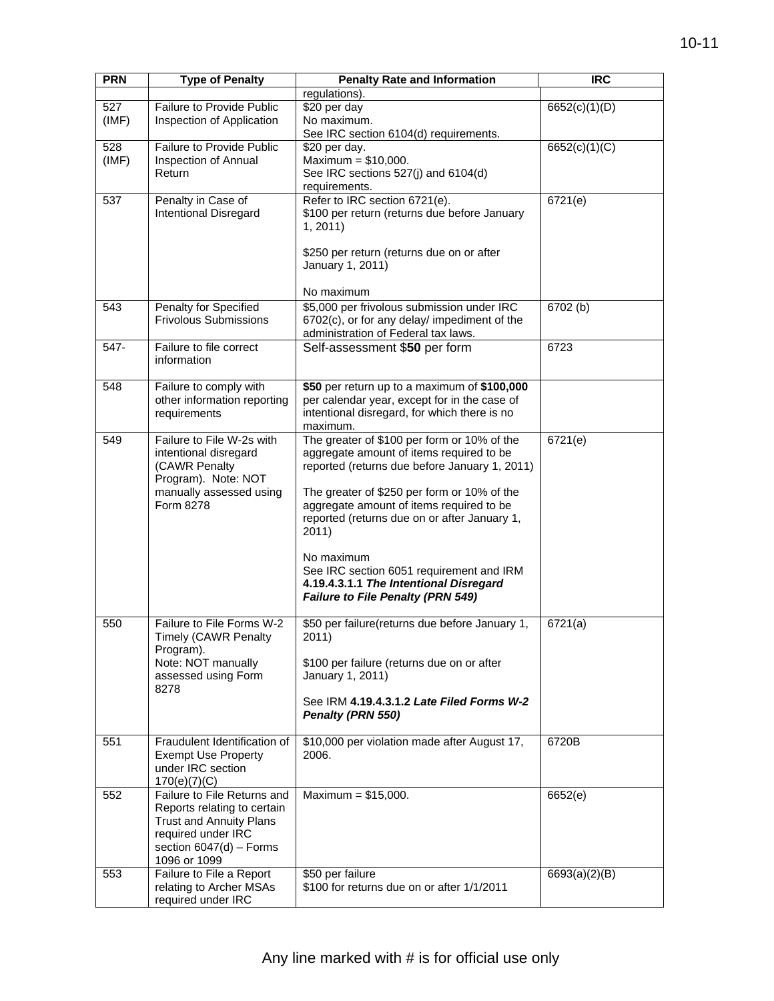| <b>PRN</b> | <b>Type of Penalty</b>                      | <b>Penalty Rate and Information</b>                                                      | <b>IRC</b>    |
|------------|---------------------------------------------|------------------------------------------------------------------------------------------|---------------|
|            |                                             | regulations).                                                                            |               |
| 527        | Failure to Provide Public                   | \$20 per day                                                                             | 6652(c)(1)(D) |
| (IMF)      | Inspection of Application                   | No maximum.                                                                              |               |
|            |                                             | See IRC section 6104(d) requirements.                                                    |               |
| 528        | Failure to Provide Public                   | \$20 per day.                                                                            | 6652(c)(1)(C) |
| (IMF)      | Inspection of Annual                        | Maximum = $$10,000$ .                                                                    |               |
|            | Return                                      | See IRC sections 527(j) and 6104(d)                                                      |               |
|            |                                             | requirements.                                                                            |               |
| 537        | Penalty in Case of                          | Refer to IRC section 6721(e).                                                            | 6721(e)       |
|            | <b>Intentional Disregard</b>                | \$100 per return (returns due before January                                             |               |
|            |                                             | 1, 2011                                                                                  |               |
|            |                                             | \$250 per return (returns due on or after                                                |               |
|            |                                             | January 1, 2011)                                                                         |               |
|            |                                             |                                                                                          |               |
|            |                                             | No maximum                                                                               |               |
| 543        | Penalty for Specified                       | \$5,000 per frivolous submission under IRC                                               | 6702 (b)      |
|            | <b>Frivolous Submissions</b>                | 6702(c), or for any delay/ impediment of the                                             |               |
|            |                                             | administration of Federal tax laws.                                                      |               |
| 547-       | Failure to file correct                     | Self-assessment \$50 per form                                                            | 6723          |
|            | information                                 |                                                                                          |               |
|            |                                             |                                                                                          |               |
| 548        | Failure to comply with                      | \$50 per return up to a maximum of \$100,000                                             |               |
|            | other information reporting                 | per calendar year, except for in the case of                                             |               |
|            | requirements                                | intentional disregard, for which there is no                                             |               |
|            |                                             | maximum.                                                                                 |               |
| 549        | Failure to File W-2s with                   | The greater of \$100 per form or 10% of the                                              | 6721(e)       |
|            | intentional disregard                       | aggregate amount of items required to be                                                 |               |
|            | (CAWR Penalty                               | reported (returns due before January 1, 2011)                                            |               |
|            | Program). Note: NOT                         |                                                                                          |               |
|            | manually assessed using<br>Form 8278        | The greater of \$250 per form or 10% of the                                              |               |
|            |                                             | aggregate amount of items required to be<br>reported (returns due on or after January 1, |               |
|            |                                             | 2011)                                                                                    |               |
|            |                                             |                                                                                          |               |
|            |                                             | No maximum                                                                               |               |
|            |                                             | See IRC section 6051 requirement and IRM                                                 |               |
|            |                                             | 4.19.4.3.1.1 The Intentional Disregard                                                   |               |
|            |                                             | <b>Failure to File Penalty (PRN 549)</b>                                                 |               |
|            |                                             |                                                                                          |               |
| 550        | Failure to File Forms W-2                   | \$50 per failure(returns due before January 1,                                           | 6721(a)       |
|            | <b>Timely (CAWR Penalty</b>                 | 2011)                                                                                    |               |
|            | Program).<br>Note: NOT manually             | \$100 per failure (returns due on or after                                               |               |
|            | assessed using Form                         | January 1, 2011)                                                                         |               |
|            | 8278                                        |                                                                                          |               |
|            |                                             | See IRM 4.19.4.3.1.2 Late Filed Forms W-2                                                |               |
|            |                                             | Penalty (PRN 550)                                                                        |               |
|            |                                             |                                                                                          |               |
| 551        | Fraudulent Identification of                | \$10,000 per violation made after August 17,                                             | 6720B         |
|            | <b>Exempt Use Property</b>                  | 2006.                                                                                    |               |
|            | under IRC section                           |                                                                                          |               |
| 552        | 170(e)(7)(C)<br>Failure to File Returns and | Maximum = $$15,000$ .                                                                    | 6652(e)       |
|            | Reports relating to certain                 |                                                                                          |               |
|            | <b>Trust and Annuity Plans</b>              |                                                                                          |               |
|            | required under IRC                          |                                                                                          |               |
|            | section $6047(d)$ - Forms                   |                                                                                          |               |
|            | 1096 or 1099                                |                                                                                          |               |
| 553        | Failure to File a Report                    | \$50 per failure                                                                         | 6693(a)(2)(B) |
|            | relating to Archer MSAs                     | \$100 for returns due on or after 1/1/2011                                               |               |
|            | required under IRC                          |                                                                                          |               |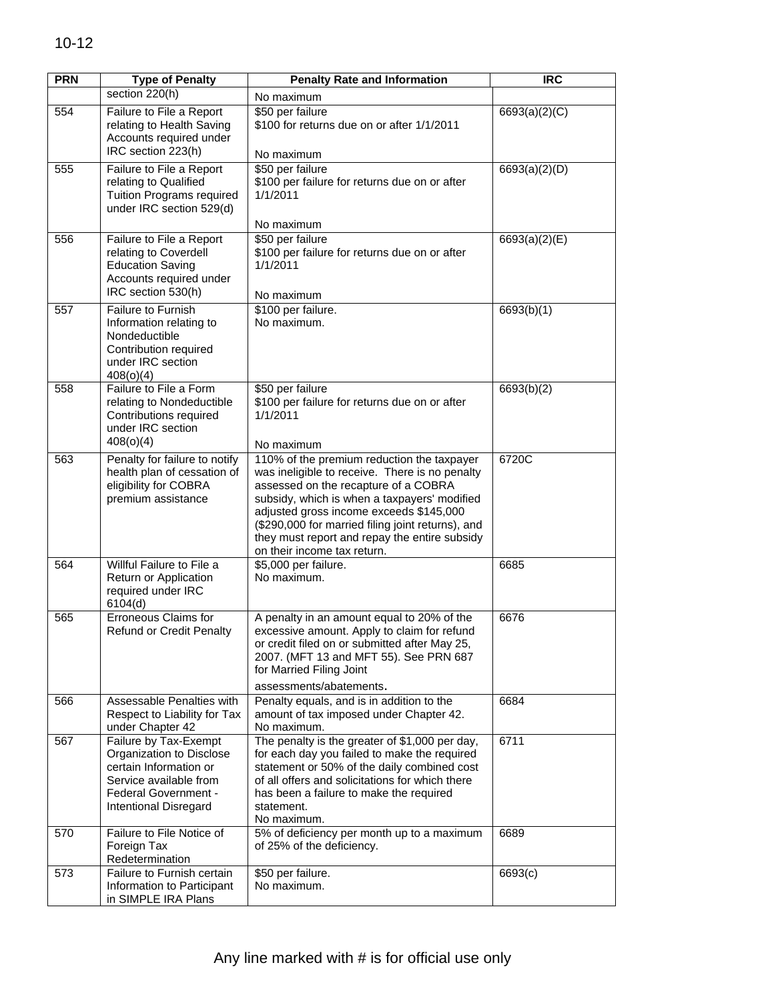| <b>PRN</b> | <b>Type of Penalty</b>                                                                                                                                 | <b>Penalty Rate and Information</b>                                                                                                                                                                                                                                                                                                                                  | <b>IRC</b>    |
|------------|--------------------------------------------------------------------------------------------------------------------------------------------------------|----------------------------------------------------------------------------------------------------------------------------------------------------------------------------------------------------------------------------------------------------------------------------------------------------------------------------------------------------------------------|---------------|
|            | section 220(h)                                                                                                                                         | No maximum                                                                                                                                                                                                                                                                                                                                                           |               |
| 554        | Failure to File a Report<br>relating to Health Saving<br>Accounts required under<br>IRC section 223(h)                                                 | \$50 per failure<br>\$100 for returns due on or after 1/1/2011<br>No maximum                                                                                                                                                                                                                                                                                         | 6693(a)(2)(C) |
| 555        | Failure to File a Report<br>relating to Qualified<br>Tuition Programs required<br>under IRC section 529(d)                                             | \$50 per failure<br>\$100 per failure for returns due on or after<br>1/1/2011<br>No maximum                                                                                                                                                                                                                                                                          | 6693(a)(2)(D) |
| 556        | Failure to File a Report<br>relating to Coverdell<br><b>Education Saving</b><br>Accounts required under<br>IRC section 530(h)                          | \$50 per failure<br>\$100 per failure for returns due on or after<br>1/1/2011<br>No maximum                                                                                                                                                                                                                                                                          | 6693(a)(2)(E) |
| 557        | Failure to Furnish<br>Information relating to<br>Nondeductible<br>Contribution required<br>under IRC section<br>408(0)(4)                              | \$100 per failure.<br>No maximum.                                                                                                                                                                                                                                                                                                                                    | 6693(b)(1)    |
| 558        | Failure to File a Form<br>relating to Nondeductible<br>Contributions required<br>under IRC section<br>408(0)(4)                                        | \$50 per failure<br>\$100 per failure for returns due on or after<br>1/1/2011<br>No maximum                                                                                                                                                                                                                                                                          | 6693(b)(2)    |
| 563        | Penalty for failure to notify<br>health plan of cessation of<br>eligibility for COBRA<br>premium assistance                                            | 110% of the premium reduction the taxpayer<br>was ineligible to receive. There is no penalty<br>assessed on the recapture of a COBRA<br>subsidy, which is when a taxpayers' modified<br>adjusted gross income exceeds \$145,000<br>(\$290,000 for married filing joint returns), and<br>they must report and repay the entire subsidy<br>on their income tax return. | 6720C         |
| 564        | Willful Failure to File a<br>Return or Application<br>required under IRC<br>6104(d)                                                                    | \$5,000 per failure.<br>No maximum.                                                                                                                                                                                                                                                                                                                                  | 6685          |
| 565        | <b>Erroneous Claims for</b><br><b>Refund or Credit Penalty</b>                                                                                         | A penalty in an amount equal to 20% of the<br>excessive amount. Apply to claim for refund<br>or credit filed on or submitted after May 25,<br>2007. (MFT 13 and MFT 55). See PRN 687<br>for Married Filing Joint<br>assessments/abatements.                                                                                                                          | 6676          |
| 566        | Assessable Penalties with<br>Respect to Liability for Tax<br>under Chapter 42                                                                          | Penalty equals, and is in addition to the<br>amount of tax imposed under Chapter 42.<br>No maximum.                                                                                                                                                                                                                                                                  | 6684          |
| 567        | Failure by Tax-Exempt<br>Organization to Disclose<br>certain Information or<br>Service available from<br>Federal Government -<br>Intentional Disregard | The penalty is the greater of \$1,000 per day,<br>for each day you failed to make the required<br>statement or 50% of the daily combined cost<br>of all offers and solicitations for which there<br>has been a failure to make the required<br>statement.<br>No maximum.                                                                                             | 6711          |
| 570        | Failure to File Notice of<br>Foreign Tax<br>Redetermination                                                                                            | 5% of deficiency per month up to a maximum<br>of 25% of the deficiency.                                                                                                                                                                                                                                                                                              | 6689          |
| 573        | Failure to Furnish certain<br>Information to Participant<br>in SIMPLE IRA Plans                                                                        | \$50 per failure.<br>No maximum.                                                                                                                                                                                                                                                                                                                                     | 6693(c)       |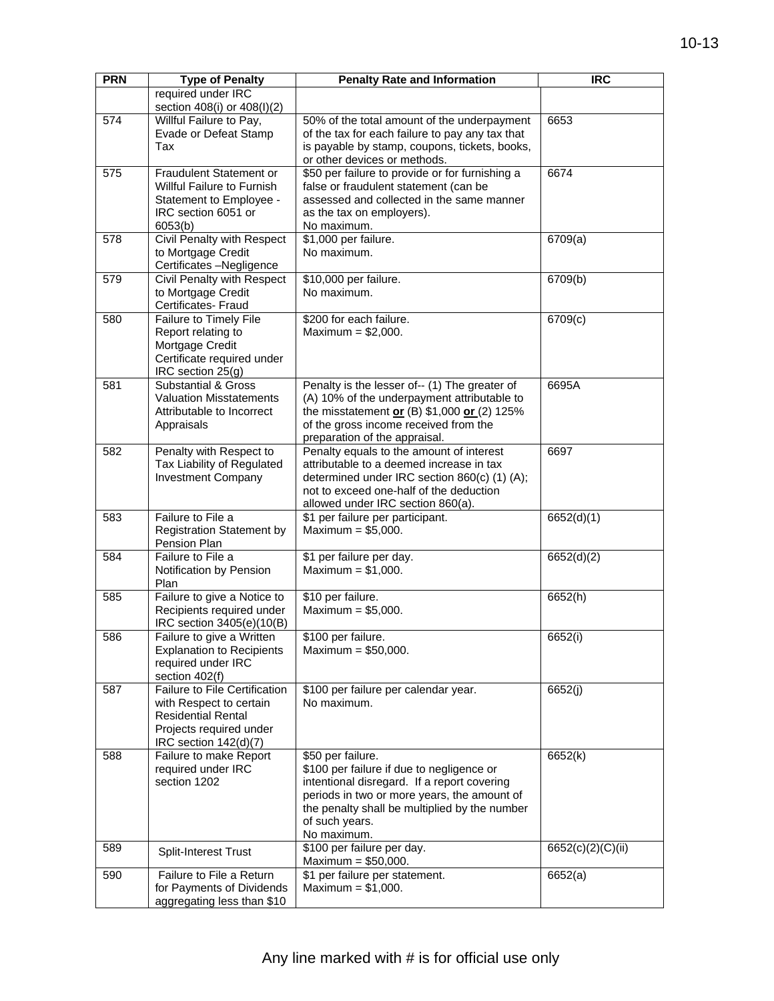| <b>PRN</b> | <b>Type of Penalty</b>                                                                                                                    | <b>Penalty Rate and Information</b>                                                                                                                                                                                                            | <b>IRC</b>        |
|------------|-------------------------------------------------------------------------------------------------------------------------------------------|------------------------------------------------------------------------------------------------------------------------------------------------------------------------------------------------------------------------------------------------|-------------------|
|            | required under IRC                                                                                                                        |                                                                                                                                                                                                                                                |                   |
|            | section 408(i) or 408(l)(2)                                                                                                               |                                                                                                                                                                                                                                                |                   |
| 574        | Willful Failure to Pay,<br>Evade or Defeat Stamp<br>Tax                                                                                   | 50% of the total amount of the underpayment<br>of the tax for each failure to pay any tax that<br>is payable by stamp, coupons, tickets, books,<br>or other devices or methods.                                                                | 6653              |
| 575        | Fraudulent Statement or<br>Willful Failure to Furnish<br>Statement to Employee -<br>IRC section 6051 or<br>6053(b)                        | \$50 per failure to provide or for furnishing a<br>false or fraudulent statement (can be<br>assessed and collected in the same manner<br>as the tax on employers).<br>No maximum.                                                              | 6674              |
| 578        | Civil Penalty with Respect<br>to Mortgage Credit<br>Certificates -Negligence                                                              | \$1,000 per failure.<br>No maximum.                                                                                                                                                                                                            | 6709(a)           |
| 579        | Civil Penalty with Respect<br>to Mortgage Credit<br>Certificates- Fraud                                                                   | \$10,000 per failure.<br>No maximum.                                                                                                                                                                                                           | 6709(b)           |
| 580        | Failure to Timely File<br>Report relating to<br>Mortgage Credit<br>Certificate required under<br>IRC section 25(g)                        | \$200 for each failure.<br>Maximum = $$2,000$ .                                                                                                                                                                                                | 6709(c)           |
| 581        | <b>Substantial &amp; Gross</b><br><b>Valuation Misstatements</b><br>Attributable to Incorrect<br>Appraisals                               | Penalty is the lesser of-- (1) The greater of<br>(A) 10% of the underpayment attributable to<br>the misstatement or $(B)$ \$1,000 or $(2)$ 125%<br>of the gross income received from the<br>preparation of the appraisal.                      | 6695A             |
| 582        | Penalty with Respect to<br>Tax Liability of Regulated<br><b>Investment Company</b>                                                        | Penalty equals to the amount of interest<br>attributable to a deemed increase in tax<br>determined under IRC section 860(c) (1) (A);<br>not to exceed one-half of the deduction<br>allowed under IRC section 860(a).                           | 6697              |
| 583        | Failure to File a<br><b>Registration Statement by</b><br>Pension Plan                                                                     | \$1 per failure per participant.<br>Maximum = $$5,000$ .                                                                                                                                                                                       | 6652(d)(1)        |
| 584        | Failure to File a<br>Notification by Pension<br>Plan                                                                                      | \$1 per failure per day.<br>Maximum = $$1,000$ .                                                                                                                                                                                               | 6652(d)(2)        |
| 585        | Failure to give a Notice to<br>Recipients required under<br>IRC section 3405(e)(10(B)                                                     | \$10 per failure.<br>Maximum = $$5,000$ .                                                                                                                                                                                                      | 6652(h)           |
| 586        | Failure to give a Written<br><b>Explanation to Recipients</b><br>required under IRC<br>section 402(f)                                     | \$100 per failure.<br>Maximum = $$50,000$ .                                                                                                                                                                                                    | 6652(i)           |
| 587        | Failure to File Certification<br>with Respect to certain<br><b>Residential Rental</b><br>Projects required under<br>IRC section 142(d)(7) | \$100 per failure per calendar year.<br>No maximum.                                                                                                                                                                                            | 6652(j)           |
| 588        | Failure to make Report<br>required under IRC<br>section 1202                                                                              | \$50 per failure.<br>\$100 per failure if due to negligence or<br>intentional disregard. If a report covering<br>periods in two or more years, the amount of<br>the penalty shall be multiplied by the number<br>of such years.<br>No maximum. | 6652(k)           |
| 589        | Split-Interest Trust                                                                                                                      | \$100 per failure per day.<br>Maximum = $$50,000$ .                                                                                                                                                                                            | 6652(c)(2)(C)(ii) |
| 590        | Failure to File a Return<br>for Payments of Dividends<br>aggregating less than \$10                                                       | \$1 per failure per statement.<br>Maximum = $$1,000$ .                                                                                                                                                                                         | 6652(a)           |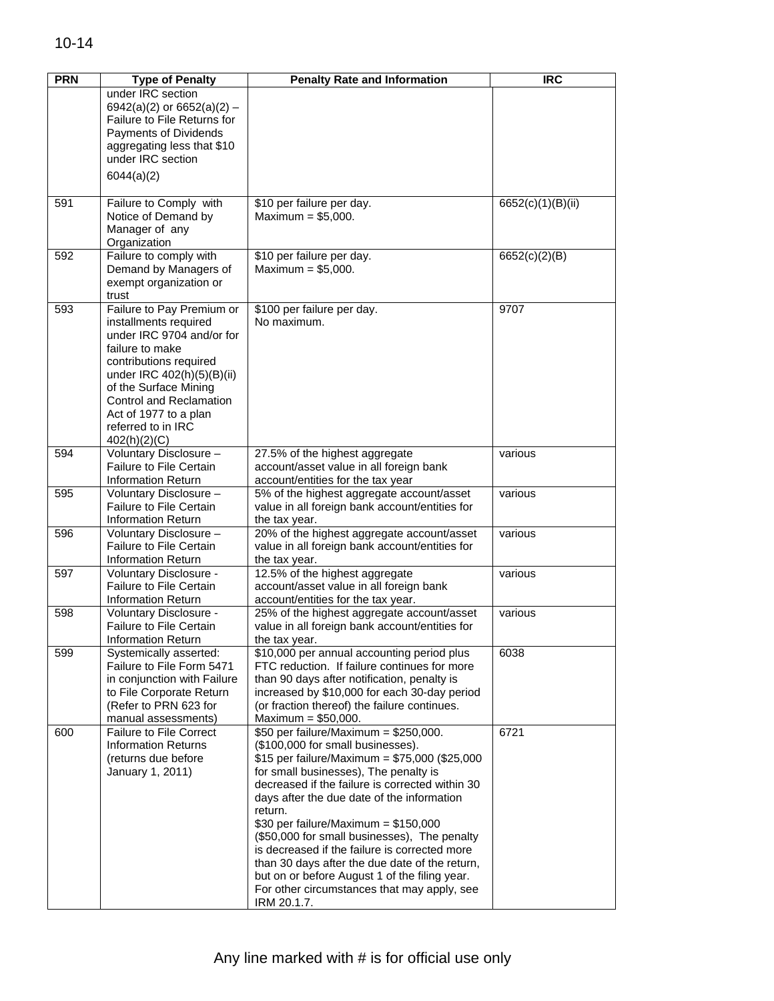| <b>PRN</b> | <b>Type of Penalty</b>                                                                                                                                                                                                                                                        | <b>Penalty Rate and Information</b>                                                                                                                                                                                                                                                                                                                                                                                                                                                                                                                                                           | <b>IRC</b>        |
|------------|-------------------------------------------------------------------------------------------------------------------------------------------------------------------------------------------------------------------------------------------------------------------------------|-----------------------------------------------------------------------------------------------------------------------------------------------------------------------------------------------------------------------------------------------------------------------------------------------------------------------------------------------------------------------------------------------------------------------------------------------------------------------------------------------------------------------------------------------------------------------------------------------|-------------------|
|            | under IRC section<br>6942(a)(2) or 6652(a)(2) -<br>Failure to File Returns for<br>Payments of Dividends                                                                                                                                                                       |                                                                                                                                                                                                                                                                                                                                                                                                                                                                                                                                                                                               |                   |
|            | aggregating less that \$10<br>under IRC section                                                                                                                                                                                                                               |                                                                                                                                                                                                                                                                                                                                                                                                                                                                                                                                                                                               |                   |
|            | 6044(a)(2)                                                                                                                                                                                                                                                                    |                                                                                                                                                                                                                                                                                                                                                                                                                                                                                                                                                                                               |                   |
| 591        | Failure to Comply with<br>Notice of Demand by<br>Manager of any<br>Organization                                                                                                                                                                                               | \$10 per failure per day.<br>Maximum = $$5,000$ .                                                                                                                                                                                                                                                                                                                                                                                                                                                                                                                                             | 6652(c)(1)(B)(ii) |
| 592        | Failure to comply with<br>Demand by Managers of<br>exempt organization or<br>trust                                                                                                                                                                                            | \$10 per failure per day.<br>Maximum = $$5,000$ .                                                                                                                                                                                                                                                                                                                                                                                                                                                                                                                                             | 6652(c)(2)(B)     |
| 593        | Failure to Pay Premium or<br>installments required<br>under IRC 9704 and/or for<br>failure to make<br>contributions required<br>under IRC 402(h)(5)(B)(ii)<br>of the Surface Mining<br>Control and Reclamation<br>Act of 1977 to a plan<br>referred to in IRC<br>402(h)(2)(C) | \$100 per failure per day.<br>No maximum.                                                                                                                                                                                                                                                                                                                                                                                                                                                                                                                                                     | 9707              |
| 594        | Voluntary Disclosure -<br><b>Failure to File Certain</b><br><b>Information Return</b>                                                                                                                                                                                         | 27.5% of the highest aggregate<br>account/asset value in all foreign bank<br>account/entities for the tax year                                                                                                                                                                                                                                                                                                                                                                                                                                                                                | various           |
| 595        | Voluntary Disclosure -<br><b>Failure to File Certain</b><br><b>Information Return</b>                                                                                                                                                                                         | 5% of the highest aggregate account/asset<br>value in all foreign bank account/entities for<br>the tax year.                                                                                                                                                                                                                                                                                                                                                                                                                                                                                  | various           |
| 596        | Voluntary Disclosure -<br><b>Failure to File Certain</b><br><b>Information Return</b>                                                                                                                                                                                         | 20% of the highest aggregate account/asset<br>value in all foreign bank account/entities for<br>the tax year.                                                                                                                                                                                                                                                                                                                                                                                                                                                                                 | various           |
| 597        | Voluntary Disclosure -<br>Failure to File Certain<br><b>Information Return</b>                                                                                                                                                                                                | 12.5% of the highest aggregate<br>account/asset value in all foreign bank<br>account/entities for the tax year.                                                                                                                                                                                                                                                                                                                                                                                                                                                                               | various           |
| 598        | Voluntary Disclosure -<br><b>Failure to File Certain</b><br>Information Return                                                                                                                                                                                                | 25% of the highest aggregate account/asset<br>value in all foreign bank account/entities for<br>the tax year.                                                                                                                                                                                                                                                                                                                                                                                                                                                                                 | various           |
| 599        | Systemically asserted:<br>Failure to File Form 5471<br>in conjunction with Failure<br>to File Corporate Return<br>(Refer to PRN 623 for<br>manual assessments)                                                                                                                | \$10,000 per annual accounting period plus<br>FTC reduction. If failure continues for more<br>than 90 days after notification, penalty is<br>increased by \$10,000 for each 30-day period<br>(or fraction thereof) the failure continues.<br>Maximum = $$50,000$ .                                                                                                                                                                                                                                                                                                                            | 6038              |
| 600        | <b>Failure to File Correct</b><br><b>Information Returns</b><br>(returns due before<br>January 1, 2011)                                                                                                                                                                       | $$50$ per failure/Maximum = \$250,000.<br>(\$100,000 for small businesses).<br>\$15 per failure/Maximum = $$75,000$ (\$25,000<br>for small businesses), The penalty is<br>decreased if the failure is corrected within 30<br>days after the due date of the information<br>return.<br>\$30 per failure/Maximum = $$150,000$<br>(\$50,000 for small businesses), The penalty<br>is decreased if the failure is corrected more<br>than 30 days after the due date of the return,<br>but on or before August 1 of the filing year.<br>For other circumstances that may apply, see<br>IRM 20.1.7. | 6721              |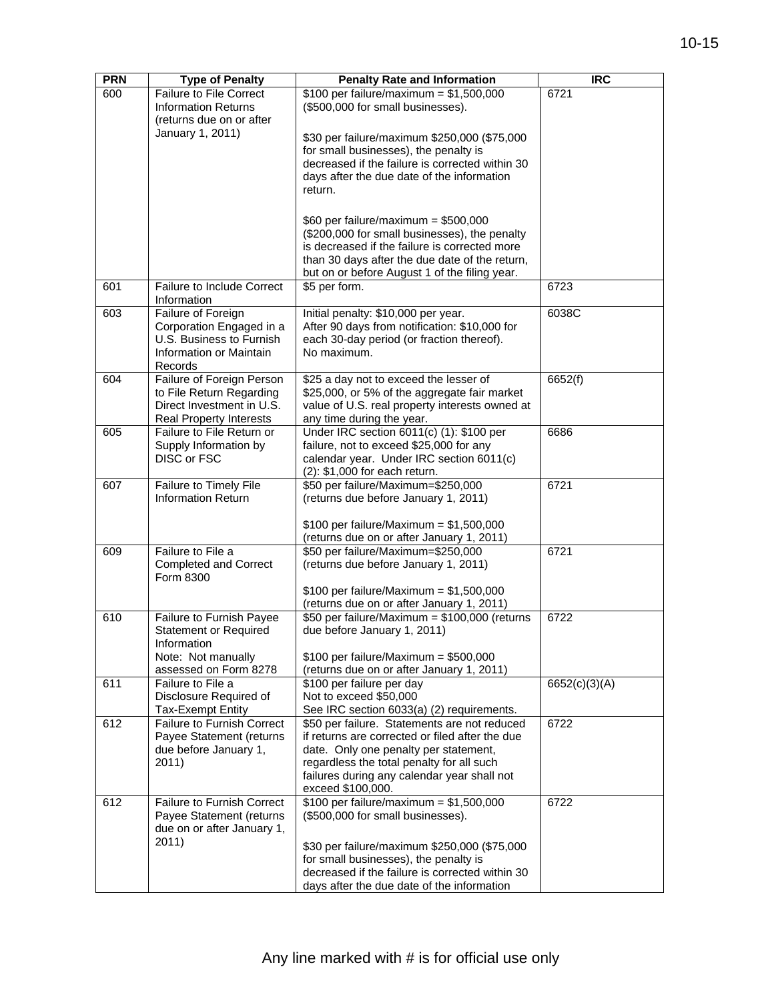| <b>PRN</b> | <b>Type of Penalty</b>                                | <b>Penalty Rate and Information</b>                                          | <b>IRC</b>    |
|------------|-------------------------------------------------------|------------------------------------------------------------------------------|---------------|
| 600        | <b>Failure to File Correct</b>                        | \$100 per failure/maximum = $$1,500,000$                                     | 6721          |
|            | <b>Information Returns</b>                            | (\$500,000 for small businesses).                                            |               |
|            | (returns due on or after                              |                                                                              |               |
|            | January 1, 2011)                                      |                                                                              |               |
|            |                                                       | \$30 per failure/maximum \$250,000 (\$75,000                                 |               |
|            |                                                       | for small businesses), the penalty is                                        |               |
|            |                                                       | decreased if the failure is corrected within 30                              |               |
|            |                                                       | days after the due date of the information                                   |               |
|            |                                                       | return.                                                                      |               |
|            |                                                       |                                                                              |               |
|            |                                                       | \$60 per failure/maximum = $$500,000$                                        |               |
|            |                                                       | (\$200,000 for small businesses), the penalty                                |               |
|            |                                                       | is decreased if the failure is corrected more                                |               |
|            |                                                       | than 30 days after the due date of the return,                               |               |
|            |                                                       | but on or before August 1 of the filing year.                                |               |
| 601        | Failure to Include Correct                            | \$5 per form.                                                                | 6723          |
|            | Information                                           |                                                                              |               |
| 603        | Failure of Foreign                                    | Initial penalty: \$10,000 per year.                                          | 6038C         |
|            | Corporation Engaged in a                              | After 90 days from notification: \$10,000 for                                |               |
|            | U.S. Business to Furnish                              | each 30-day period (or fraction thereof).                                    |               |
|            | Information or Maintain                               | No maximum.                                                                  |               |
|            | Records                                               |                                                                              | 6652(f)       |
| 604        | Failure of Foreign Person<br>to File Return Regarding | \$25 a day not to exceed the lesser of                                       |               |
|            | Direct Investment in U.S.                             | \$25,000, or 5% of the aggregate fair market                                 |               |
|            | <b>Real Property Interests</b>                        | value of U.S. real property interests owned at                               |               |
| 605        | Failure to File Return or                             | any time during the year.<br>Under IRC section 6011(c) (1): \$100 per        | 6686          |
|            | Supply Information by                                 | failure, not to exceed \$25,000 for any                                      |               |
|            | <b>DISC or FSC</b>                                    | calendar year. Under IRC section 6011(c)                                     |               |
|            |                                                       | (2): \$1,000 for each return.                                                |               |
| 607        | Failure to Timely File                                | \$50 per failure/Maximum=\$250,000                                           | 6721          |
|            | <b>Information Return</b>                             | (returns due before January 1, 2011)                                         |               |
|            |                                                       |                                                                              |               |
|            |                                                       | \$100 per failure/Maximum = $$1,500,000$                                     |               |
|            |                                                       | (returns due on or after January 1, 2011)                                    |               |
| 609        | Failure to File a                                     | \$50 per failure/Maximum=\$250,000                                           | 6721          |
|            | <b>Completed and Correct</b>                          | (returns due before January 1, 2011)                                         |               |
|            | Form 8300                                             |                                                                              |               |
|            |                                                       | \$100 per failure/Maximum = $$1,500,000$                                     |               |
|            |                                                       | (returns due on or after January 1, 2011)                                    | 6722          |
| 610        | Failure to Furnish Payee                              | \$50 per failure/Maximum = \$100,000 (returns<br>due before January 1, 2011) |               |
|            | <b>Statement or Required</b><br>Information           |                                                                              |               |
|            | Note: Not manually                                    | $$100$ per failure/Maximum = \$500,000                                       |               |
|            | assessed on Form 8278                                 | (returns due on or after January 1, 2011)                                    |               |
| 611        | Failure to File a                                     | \$100 per failure per day                                                    | 6652(c)(3)(A) |
|            | Disclosure Required of                                | Not to exceed \$50,000                                                       |               |
|            | <b>Tax-Exempt Entity</b>                              | See IRC section 6033(a) (2) requirements.                                    |               |
| 612        | <b>Failure to Furnish Correct</b>                     | \$50 per failure. Statements are not reduced                                 | 6722          |
|            | Payee Statement (returns                              | if returns are corrected or filed after the due                              |               |
|            | due before January 1,                                 | date. Only one penalty per statement,                                        |               |
|            | 2011)                                                 | regardless the total penalty for all such                                    |               |
|            |                                                       | failures during any calendar year shall not                                  |               |
|            |                                                       | exceed \$100,000.                                                            |               |
| 612        | <b>Failure to Furnish Correct</b>                     | \$100 per failure/maximum = $$1,500,000$                                     | 6722          |
|            | Payee Statement (returns                              | (\$500,000 for small businesses).                                            |               |
|            | due on or after January 1,                            |                                                                              |               |
|            | 2011)                                                 | \$30 per failure/maximum \$250,000 (\$75,000                                 |               |
|            |                                                       | for small businesses), the penalty is                                        |               |
|            |                                                       | decreased if the failure is corrected within 30                              |               |
|            |                                                       | days after the due date of the information                                   |               |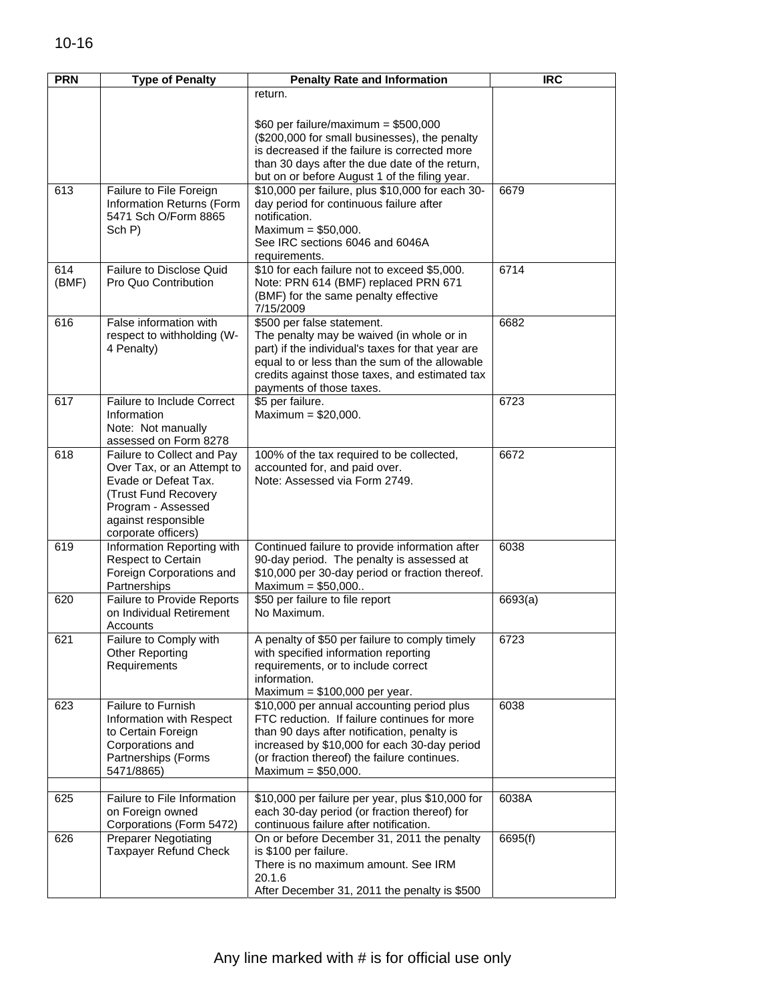| <b>PRN</b> | <b>Type of Penalty</b>                                   | <b>Penalty Rate and Information</b>                                                              | <b>IRC</b> |
|------------|----------------------------------------------------------|--------------------------------------------------------------------------------------------------|------------|
|            |                                                          | return.                                                                                          |            |
|            |                                                          |                                                                                                  |            |
|            |                                                          | \$60 per failure/maximum = $$500,000$                                                            |            |
|            |                                                          | (\$200,000 for small businesses), the penalty                                                    |            |
|            |                                                          | is decreased if the failure is corrected more                                                    |            |
|            |                                                          | than 30 days after the due date of the return,<br>but on or before August 1 of the filing year.  |            |
| 613        | Failure to File Foreign                                  | \$10,000 per failure, plus \$10,000 for each 30-                                                 | 6679       |
|            | Information Returns (Form                                | day period for continuous failure after                                                          |            |
|            | 5471 Sch O/Form 8865                                     | notification.                                                                                    |            |
|            | Sch P)                                                   | Maximum = $$50,000$ .                                                                            |            |
|            |                                                          | See IRC sections 6046 and 6046A                                                                  |            |
| 614        | Failure to Disclose Quid                                 | requirements.<br>\$10 for each failure not to exceed \$5,000.                                    | 6714       |
| (BMF)      | Pro Quo Contribution                                     | Note: PRN 614 (BMF) replaced PRN 671                                                             |            |
|            |                                                          | (BMF) for the same penalty effective                                                             |            |
|            |                                                          | 7/15/2009                                                                                        |            |
| 616        | False information with                                   | \$500 per false statement.                                                                       | 6682       |
|            | respect to withholding (W-                               | The penalty may be waived (in whole or in                                                        |            |
|            | 4 Penalty)                                               | part) if the individual's taxes for that year are                                                |            |
|            |                                                          | equal to or less than the sum of the allowable<br>credits against those taxes, and estimated tax |            |
|            |                                                          | payments of those taxes.                                                                         |            |
| 617        | Failure to Include Correct                               | \$5 per failure.                                                                                 | 6723       |
|            | Information                                              | Maximum = $$20,000$ .                                                                            |            |
|            | Note: Not manually                                       |                                                                                                  |            |
|            | assessed on Form 8278                                    |                                                                                                  |            |
| 618        | Failure to Collect and Pay<br>Over Tax, or an Attempt to | 100% of the tax required to be collected,<br>accounted for, and paid over.                       | 6672       |
|            | Evade or Defeat Tax.                                     | Note: Assessed via Form 2749.                                                                    |            |
|            | (Trust Fund Recovery                                     |                                                                                                  |            |
|            | Program - Assessed                                       |                                                                                                  |            |
|            | against responsible                                      |                                                                                                  |            |
| 619        | corporate officers)                                      |                                                                                                  |            |
|            | Information Reporting with<br>Respect to Certain         | Continued failure to provide information after<br>90-day period. The penalty is assessed at      | 6038       |
|            | Foreign Corporations and                                 | \$10,000 per 30-day period or fraction thereof.                                                  |            |
|            | Partnerships                                             | Maximum = $$50,000$                                                                              |            |
| 620        | <b>Failure to Provide Reports</b>                        | \$50 per failure to file report                                                                  | 6693(a)    |
|            | on Individual Retirement                                 | No Maximum.                                                                                      |            |
| 621        | Accounts<br>Failure to Comply with                       | A penalty of \$50 per failure to comply timely                                                   | 6723       |
|            | <b>Other Reporting</b>                                   | with specified information reporting                                                             |            |
|            | Requirements                                             | requirements, or to include correct                                                              |            |
|            |                                                          | information.                                                                                     |            |
|            |                                                          | Maximum = $$100,000$ per year.                                                                   |            |
| 623        | Failure to Furnish                                       | \$10,000 per annual accounting period plus                                                       | 6038       |
|            | Information with Respect<br>to Certain Foreign           | FTC reduction. If failure continues for more<br>than 90 days after notification, penalty is      |            |
|            | Corporations and                                         | increased by \$10,000 for each 30-day period                                                     |            |
|            | Partnerships (Forms                                      | (or fraction thereof) the failure continues.                                                     |            |
|            | 5471/8865)                                               | Maximum = $$50,000$ .                                                                            |            |
|            |                                                          |                                                                                                  |            |
| 625        | Failure to File Information                              | \$10,000 per failure per year, plus \$10,000 for                                                 | 6038A      |
|            | on Foreign owned<br>Corporations (Form 5472)             | each 30-day period (or fraction thereof) for<br>continuous failure after notification.           |            |
| 626        | <b>Preparer Negotiating</b>                              | On or before December 31, 2011 the penalty                                                       | 6695(f)    |
|            | <b>Taxpayer Refund Check</b>                             | is \$100 per failure.                                                                            |            |
|            |                                                          | There is no maximum amount. See IRM                                                              |            |
|            |                                                          | 20.1.6                                                                                           |            |
|            |                                                          | After December 31, 2011 the penalty is \$500                                                     |            |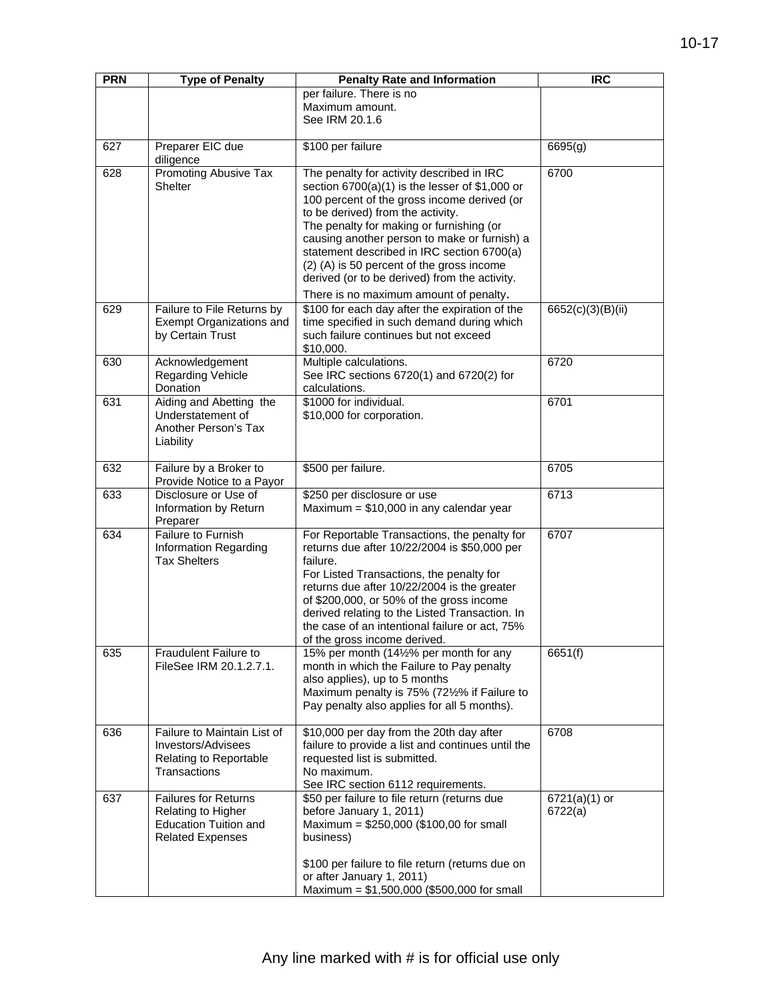| <b>PRN</b> | <b>Type of Penalty</b>                                                                                       | <b>Penalty Rate and Information</b>                                                                                                                                                                                                                                                                                                                                                                                       | <b>IRC</b>                 |
|------------|--------------------------------------------------------------------------------------------------------------|---------------------------------------------------------------------------------------------------------------------------------------------------------------------------------------------------------------------------------------------------------------------------------------------------------------------------------------------------------------------------------------------------------------------------|----------------------------|
|            |                                                                                                              | per failure. There is no<br>Maximum amount.<br>See IRM 20.1.6                                                                                                                                                                                                                                                                                                                                                             |                            |
| 627        | Preparer EIC due                                                                                             | \$100 per failure                                                                                                                                                                                                                                                                                                                                                                                                         | 6695(g)                    |
| 628        | diligence<br>Promoting Abusive Tax<br><b>Shelter</b>                                                         | The penalty for activity described in IRC<br>section $6700(a)(1)$ is the lesser of \$1,000 or<br>100 percent of the gross income derived (or<br>to be derived) from the activity.<br>The penalty for making or furnishing (or<br>causing another person to make or furnish) a<br>statement described in IRC section 6700(a)<br>(2) (A) is 50 percent of the gross income<br>derived (or to be derived) from the activity. | 6700                       |
| 629        | Failure to File Returns by<br>Exempt Organizations and<br>by Certain Trust                                   | There is no maximum amount of penalty.<br>\$100 for each day after the expiration of the<br>time specified in such demand during which<br>such failure continues but not exceed                                                                                                                                                                                                                                           | 6652(c)(3)(B)(ii)          |
| 630        | Acknowledgement<br>Regarding Vehicle<br>Donation                                                             | \$10,000.<br>Multiple calculations.<br>See IRC sections 6720(1) and 6720(2) for<br>calculations.                                                                                                                                                                                                                                                                                                                          | 6720                       |
| 631        | Aiding and Abetting the<br>Understatement of<br>Another Person's Tax<br>Liability                            | \$1000 for individual.<br>\$10,000 for corporation.                                                                                                                                                                                                                                                                                                                                                                       | 6701                       |
| 632        | Failure by a Broker to<br>Provide Notice to a Payor                                                          | \$500 per failure.                                                                                                                                                                                                                                                                                                                                                                                                        | 6705                       |
| 633        | Disclosure or Use of<br>Information by Return<br>Preparer                                                    | \$250 per disclosure or use<br>Maximum = $$10,000$ in any calendar year                                                                                                                                                                                                                                                                                                                                                   | 6713                       |
| 634        | Failure to Furnish<br>Information Regarding<br><b>Tax Shelters</b>                                           | For Reportable Transactions, the penalty for<br>returns due after 10/22/2004 is \$50,000 per<br>failure.<br>For Listed Transactions, the penalty for<br>returns due after 10/22/2004 is the greater<br>of \$200,000, or 50% of the gross income<br>derived relating to the Listed Transaction. In<br>the case of an intentional failure or act, 75%<br>of the gross income derived.                                       | 6707                       |
| 635        | Fraudulent Failure to<br>FileSee IRM 20.1.2.7.1.                                                             | 15% per month (14½% per month for any<br>month in which the Failure to Pay penalty<br>also applies), up to 5 months<br>Maximum penalty is 75% (72½% if Failure to<br>Pay penalty also applies for all 5 months).                                                                                                                                                                                                          | 6651(f)                    |
| 636        | Failure to Maintain List of<br><b>Investors/Advisees</b><br>Relating to Reportable<br>Transactions           | \$10,000 per day from the 20th day after<br>failure to provide a list and continues until the<br>requested list is submitted.<br>No maximum.<br>See IRC section 6112 requirements.                                                                                                                                                                                                                                        | 6708                       |
| 637        | <b>Failures for Returns</b><br>Relating to Higher<br><b>Education Tuition and</b><br><b>Related Expenses</b> | \$50 per failure to file return (returns due<br>before January 1, 2011)<br>Maximum = $$250,000$ (\$100,00 for small<br>business)                                                                                                                                                                                                                                                                                          | $6721(a)(1)$ or<br>6722(a) |
|            |                                                                                                              | \$100 per failure to file return (returns due on<br>or after January 1, 2011)<br>Maximum = $$1,500,000$ (\$500,000 for small                                                                                                                                                                                                                                                                                              |                            |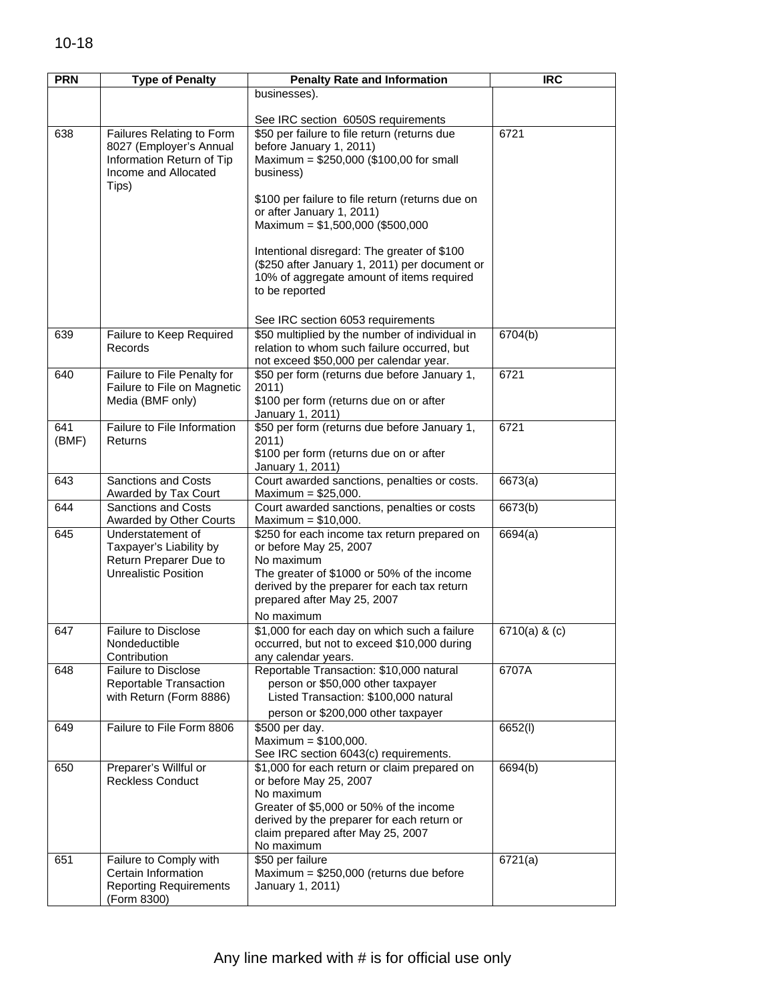| <b>PRN</b> | <b>Type of Penalty</b>                               | <b>Penalty Rate and Information</b>                                        | <b>IRC</b>      |
|------------|------------------------------------------------------|----------------------------------------------------------------------------|-----------------|
|            |                                                      | businesses).                                                               |                 |
|            |                                                      |                                                                            |                 |
|            |                                                      | See IRC section 6050S requirements                                         |                 |
| 638        | Failures Relating to Form<br>8027 (Employer's Annual | \$50 per failure to file return (returns due<br>before January 1, 2011)    | 6721            |
|            | Information Return of Tip                            | Maximum = \$250,000 (\$100,00 for small                                    |                 |
|            | Income and Allocated                                 | business)                                                                  |                 |
|            | Tips)                                                |                                                                            |                 |
|            |                                                      | \$100 per failure to file return (returns due on                           |                 |
|            |                                                      | or after January 1, 2011)<br>Maximum = $$1,500,000$ (\$500,000             |                 |
|            |                                                      |                                                                            |                 |
|            |                                                      | Intentional disregard: The greater of \$100                                |                 |
|            |                                                      | (\$250 after January 1, 2011) per document or                              |                 |
|            |                                                      | 10% of aggregate amount of items required                                  |                 |
|            |                                                      | to be reported                                                             |                 |
|            |                                                      | See IRC section 6053 requirements                                          |                 |
| 639        | Failure to Keep Required                             | \$50 multiplied by the number of individual in                             | 6704(b)         |
|            | Records                                              | relation to whom such failure occurred, but                                |                 |
|            |                                                      | not exceed \$50,000 per calendar year.                                     |                 |
| 640        | Failure to File Penalty for                          | \$50 per form (returns due before January 1,                               | 6721            |
|            | Failure to File on Magnetic<br>Media (BMF only)      | 2011)<br>\$100 per form (returns due on or after                           |                 |
|            |                                                      | January 1, 2011)                                                           |                 |
| 641        | Failure to File Information                          | \$50 per form (returns due before January 1,                               | 6721            |
| (BMF)      | Returns                                              | 2011)                                                                      |                 |
|            |                                                      | \$100 per form (returns due on or after<br>January 1, 2011)                |                 |
| 643        | <b>Sanctions and Costs</b>                           | Court awarded sanctions, penalties or costs.                               | 6673(a)         |
|            | Awarded by Tax Court                                 | Maximum = $$25,000$ .                                                      |                 |
| 644        | <b>Sanctions and Costs</b>                           | Court awarded sanctions, penalties or costs                                | 6673(b)         |
| 645        | Awarded by Other Courts<br>Understatement of         | Maximum = $$10,000$ .<br>\$250 for each income tax return prepared on      | 6694(a)         |
|            | Taxpayer's Liability by                              | or before May 25, 2007                                                     |                 |
|            | Return Preparer Due to                               | No maximum                                                                 |                 |
|            | <b>Unrealistic Position</b>                          | The greater of \$1000 or 50% of the income                                 |                 |
|            |                                                      | derived by the preparer for each tax return<br>prepared after May 25, 2007 |                 |
|            |                                                      | No maximum                                                                 |                 |
| 647        | <b>Failure to Disclose</b>                           | \$1,000 for each day on which such a failure                               | $6710(a)$ & (c) |
|            | Nondeductible                                        | occurred, but not to exceed \$10,000 during                                |                 |
|            | Contribution                                         | any calendar years.                                                        |                 |
| 648        | <b>Failure to Disclose</b>                           | Reportable Transaction: \$10,000 natural                                   | 6707A           |
|            | Reportable Transaction<br>with Return (Form 8886)    | person or \$50,000 other taxpayer<br>Listed Transaction: \$100,000 natural |                 |
|            |                                                      | person or \$200,000 other taxpayer                                         |                 |
| 649        | Failure to File Form 8806                            | \$500 per day.                                                             | 6652(l)         |
|            |                                                      | Maximum = $$100,000$ .                                                     |                 |
|            |                                                      | See IRC section 6043(c) requirements.                                      |                 |
| 650        | Preparer's Willful or                                | \$1,000 for each return or claim prepared on                               | 6694(b)         |
|            | <b>Reckless Conduct</b>                              | or before May 25, 2007<br>No maximum                                       |                 |
|            |                                                      | Greater of \$5,000 or 50% of the income                                    |                 |
|            |                                                      | derived by the preparer for each return or                                 |                 |
|            |                                                      | claim prepared after May 25, 2007                                          |                 |
| 651        | Failure to Comply with                               | No maximum<br>\$50 per failure                                             | 6721(a)         |
|            | Certain Information                                  | Maximum = \$250,000 (returns due before                                    |                 |
|            | <b>Reporting Requirements</b>                        | January 1, 2011)                                                           |                 |
|            | (Form 8300)                                          |                                                                            |                 |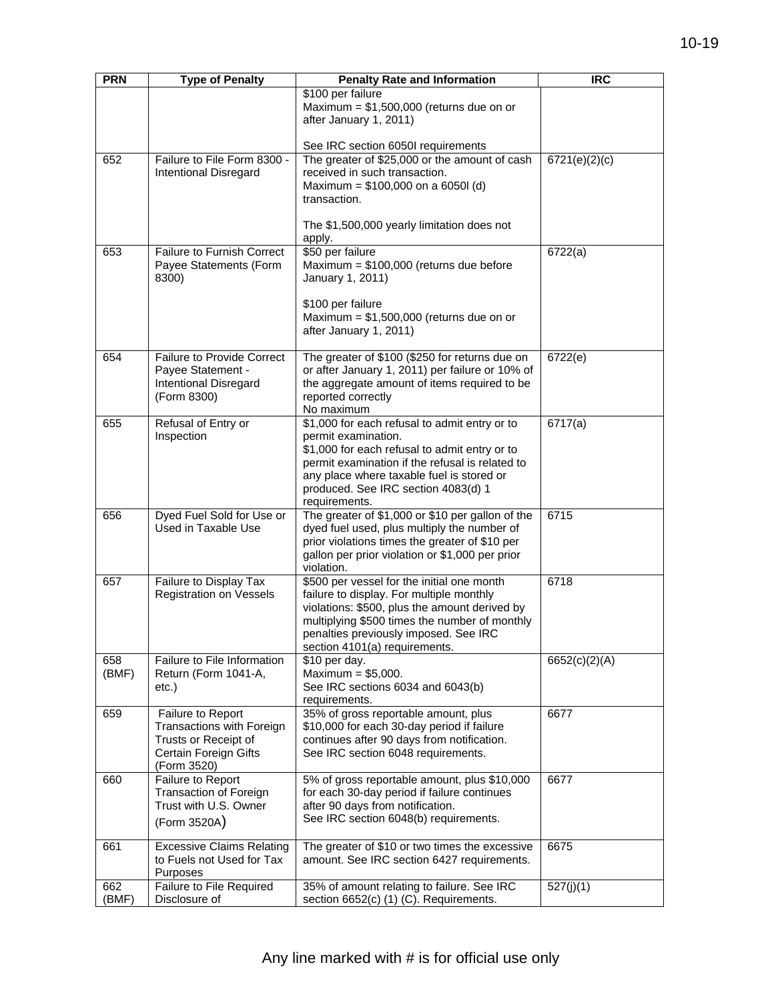| <b>PRN</b> | <b>Type of Penalty</b>                            | <b>Penalty Rate and Information</b>                                | <b>IRC</b>    |
|------------|---------------------------------------------------|--------------------------------------------------------------------|---------------|
|            |                                                   | \$100 per failure                                                  |               |
|            |                                                   | Maximum = $$1,500,000$ (returns due on or                          |               |
|            |                                                   | after January 1, 2011)                                             |               |
|            |                                                   |                                                                    |               |
|            |                                                   | See IRC section 6050I requirements                                 |               |
| 652        | Failure to File Form 8300 -                       | The greater of \$25,000 or the amount of cash                      | 6721(e)(2)(c) |
|            | Intentional Disregard                             | received in such transaction.                                      |               |
|            |                                                   | Maximum = $$100,000$ on a 6050l (d)                                |               |
|            |                                                   | transaction.                                                       |               |
|            |                                                   | The \$1,500,000 yearly limitation does not                         |               |
|            |                                                   | apply.                                                             |               |
| 653        | <b>Failure to Furnish Correct</b>                 | \$50 per failure                                                   | 6722(a)       |
|            | Payee Statements (Form                            | Maximum = $$100,000$ (returns due before                           |               |
|            | 8300)                                             | January 1, 2011)                                                   |               |
|            |                                                   |                                                                    |               |
|            |                                                   | \$100 per failure                                                  |               |
|            |                                                   | Maximum = $$1,500,000$ (returns due on or                          |               |
|            |                                                   | after January 1, 2011)                                             |               |
|            |                                                   |                                                                    |               |
| 654        | <b>Failure to Provide Correct</b>                 | The greater of \$100 (\$250 for returns due on                     | 6722(e)       |
|            | Payee Statement -<br><b>Intentional Disregard</b> | or after January 1, 2011) per failure or 10% of                    |               |
|            | (Form 8300)                                       | the aggregate amount of items required to be<br>reported correctly |               |
|            |                                                   | No maximum                                                         |               |
| 655        | Refusal of Entry or                               | \$1,000 for each refusal to admit entry or to                      | 6717(a)       |
|            | Inspection                                        | permit examination.                                                |               |
|            |                                                   | \$1,000 for each refusal to admit entry or to                      |               |
|            |                                                   | permit examination if the refusal is related to                    |               |
|            |                                                   | any place where taxable fuel is stored or                          |               |
|            |                                                   | produced. See IRC section 4083(d) 1                                |               |
|            |                                                   | requirements.                                                      |               |
| 656        | Dyed Fuel Sold for Use or                         | The greater of \$1,000 or \$10 per gallon of the                   | 6715          |
|            | Used in Taxable Use                               | dyed fuel used, plus multiply the number of                        |               |
|            |                                                   | prior violations times the greater of \$10 per                     |               |
|            |                                                   | gallon per prior violation or \$1,000 per prior<br>violation.      |               |
| 657        | Failure to Display Tax                            | \$500 per vessel for the initial one month                         | 6718          |
|            | Registration on Vessels                           | failure to display. For multiple monthly                           |               |
|            |                                                   | violations: \$500, plus the amount derived by                      |               |
|            |                                                   | multiplying \$500 times the number of monthly                      |               |
|            |                                                   | penalties previously imposed. See IRC                              |               |
|            |                                                   | section 4101(a) requirements.                                      |               |
| 658        | Failure to File Information                       | \$10 per day.                                                      | 6652(c)(2)(A) |
| (BMF)      | Return (Form 1041-A,                              | Maximum = $$5,000$ .                                               |               |
|            | $etc.$ )                                          | See IRC sections 6034 and 6043(b)                                  |               |
|            |                                                   | requirements.<br>35% of gross reportable amount, plus              |               |
| 659        | Failure to Report<br>Transactions with Foreign    | \$10,000 for each 30-day period if failure                         | 6677          |
|            | Trusts or Receipt of                              | continues after 90 days from notification.                         |               |
|            | Certain Foreign Gifts                             | See IRC section 6048 requirements.                                 |               |
|            | (Form 3520)                                       |                                                                    |               |
| 660        | Failure to Report                                 | 5% of gross reportable amount, plus \$10,000                       | 6677          |
|            | <b>Transaction of Foreign</b>                     | for each 30-day period if failure continues                        |               |
|            | Trust with U.S. Owner                             | after 90 days from notification.                                   |               |
|            | (Form 3520A)                                      | See IRC section 6048(b) requirements.                              |               |
|            |                                                   |                                                                    |               |
| 661        | <b>Excessive Claims Relating</b>                  | The greater of \$10 or two times the excessive                     | 6675          |
|            | to Fuels not Used for Tax                         | amount. See IRC section 6427 requirements.                         |               |
| 662        | Purposes<br>Failure to File Required              | 35% of amount relating to failure. See IRC                         | 527(j)(1)     |
| (BMF)      | Disclosure of                                     | section 6652(c) (1) (C). Requirements.                             |               |
|            |                                                   |                                                                    |               |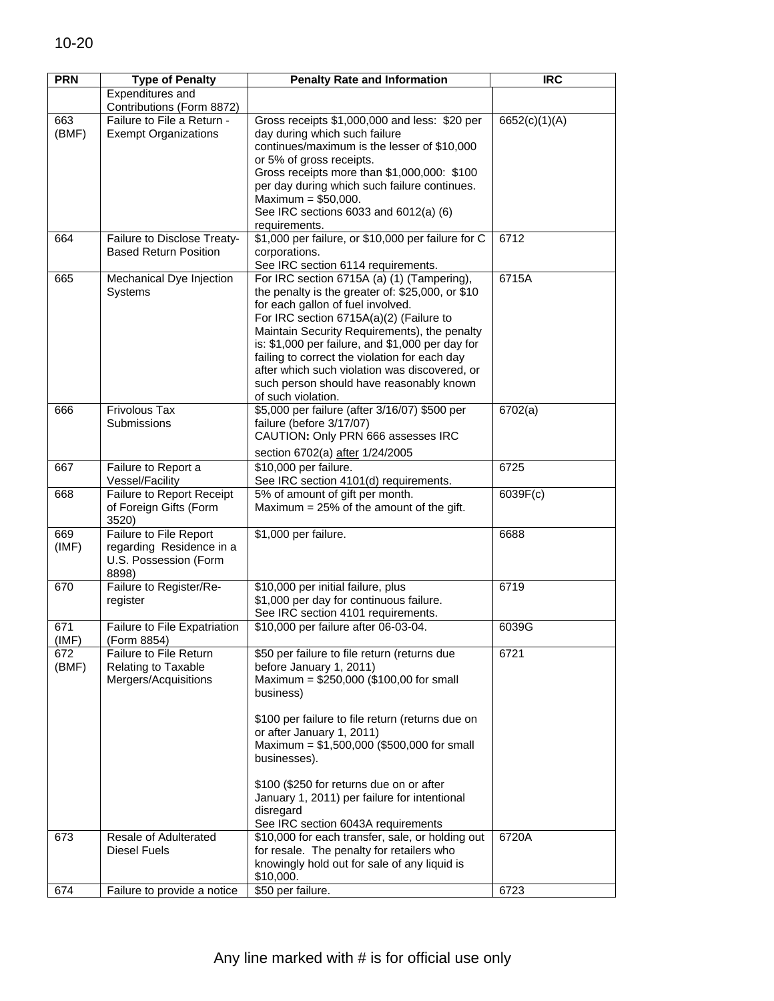| <b>PRN</b>   | <b>Type of Penalty</b>                                                               | <b>Penalty Rate and Information</b>                                                                                                                                                                                                                                                                                                                                                                                                                    | <b>IRC</b>    |
|--------------|--------------------------------------------------------------------------------------|--------------------------------------------------------------------------------------------------------------------------------------------------------------------------------------------------------------------------------------------------------------------------------------------------------------------------------------------------------------------------------------------------------------------------------------------------------|---------------|
|              | Expenditures and                                                                     |                                                                                                                                                                                                                                                                                                                                                                                                                                                        |               |
|              | Contributions (Form 8872)                                                            |                                                                                                                                                                                                                                                                                                                                                                                                                                                        |               |
| 663<br>(BMF) | Failure to File a Return -<br><b>Exempt Organizations</b>                            | Gross receipts \$1,000,000 and less: \$20 per<br>day during which such failure<br>continues/maximum is the lesser of \$10,000<br>or 5% of gross receipts.                                                                                                                                                                                                                                                                                              | 6652(c)(1)(A) |
|              |                                                                                      | Gross receipts more than \$1,000,000: \$100<br>per day during which such failure continues.<br>Maximum = $$50,000$ .<br>See IRC sections 6033 and 6012(a) (6)<br>requirements.                                                                                                                                                                                                                                                                         |               |
| 664          | Failure to Disclose Treaty-<br><b>Based Return Position</b>                          | \$1,000 per failure, or \$10,000 per failure for C<br>corporations.<br>See IRC section 6114 requirements.                                                                                                                                                                                                                                                                                                                                              | 6712          |
| 665          | Mechanical Dye Injection<br>Systems                                                  | For IRC section 6715A (a) (1) (Tampering),<br>the penalty is the greater of: \$25,000, or \$10<br>for each gallon of fuel involved.<br>For IRC section 6715A(a)(2) (Failure to<br>Maintain Security Requirements), the penalty<br>is: \$1,000 per failure, and \$1,000 per day for<br>failing to correct the violation for each day<br>after which such violation was discovered, or<br>such person should have reasonably known<br>of such violation. | 6715A         |
| 666          | Frivolous Tax<br>Submissions                                                         | \$5,000 per failure (after 3/16/07) \$500 per<br>failure (before 3/17/07)<br>CAUTION: Only PRN 666 assesses IRC<br>section 6702(a) after 1/24/2005                                                                                                                                                                                                                                                                                                     | 6702(a)       |
| 667          | Failure to Report a<br>Vessel/Facility                                               | \$10,000 per failure.<br>See IRC section 4101(d) requirements.                                                                                                                                                                                                                                                                                                                                                                                         | 6725          |
| 668          | Failure to Report Receipt<br>of Foreign Gifts (Form<br>3520)                         | 5% of amount of gift per month.<br>Maximum = $25%$ of the amount of the gift.                                                                                                                                                                                                                                                                                                                                                                          | 6039F(c)      |
| 669<br>(IMF) | Failure to File Report<br>regarding Residence in a<br>U.S. Possession (Form<br>8898) | \$1,000 per failure.                                                                                                                                                                                                                                                                                                                                                                                                                                   | 6688          |
| 670          | Failure to Register/Re-<br>register                                                  | \$10,000 per initial failure, plus<br>\$1,000 per day for continuous failure.<br>See IRC section 4101 requirements.                                                                                                                                                                                                                                                                                                                                    | 6719          |
| 671<br>(IMF) | Failure to File Expatriation<br>(Form 8854)                                          | \$10,000 per failure after 06-03-04.                                                                                                                                                                                                                                                                                                                                                                                                                   | 6039G         |
| 672<br>(BMF) | Failure to File Return<br>Relating to Taxable<br>Mergers/Acquisitions                | \$50 per failure to file return (returns due<br>before January 1, 2011)<br>Maximum = $$250,000$ (\$100,00 for small<br>business)                                                                                                                                                                                                                                                                                                                       | 6721          |
|              |                                                                                      | \$100 per failure to file return (returns due on<br>or after January 1, 2011)<br>Maximum = $$1,500,000$ (\$500,000 for small<br>businesses).<br>\$100 (\$250 for returns due on or after                                                                                                                                                                                                                                                               |               |
|              |                                                                                      | January 1, 2011) per failure for intentional<br>disregard<br>See IRC section 6043A requirements                                                                                                                                                                                                                                                                                                                                                        |               |
| 673          | Resale of Adulterated<br><b>Diesel Fuels</b>                                         | \$10,000 for each transfer, sale, or holding out<br>for resale. The penalty for retailers who<br>knowingly hold out for sale of any liquid is<br>\$10,000.                                                                                                                                                                                                                                                                                             | 6720A         |
| 674          | Failure to provide a notice                                                          | \$50 per failure.                                                                                                                                                                                                                                                                                                                                                                                                                                      | 6723          |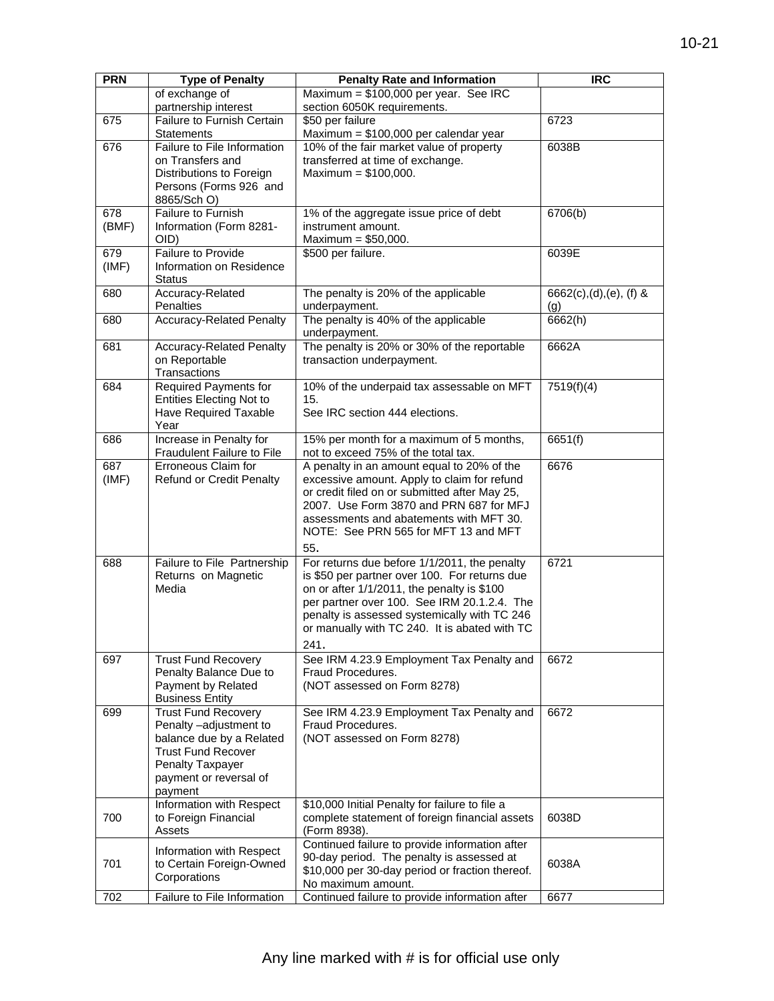| <b>PRN</b> | <b>Type of Penalty</b>                                   | <b>Penalty Rate and Information</b>                                                           | <b>IRC</b>             |
|------------|----------------------------------------------------------|-----------------------------------------------------------------------------------------------|------------------------|
|            | of exchange of                                           | Maximum = $$100,000$ per year. See IRC                                                        |                        |
|            | partnership interest                                     | section 6050K requirements.                                                                   |                        |
| 675        | Failure to Furnish Certain<br><b>Statements</b>          | \$50 per failure<br>Maximum = \$100,000 per calendar year                                     | 6723                   |
| 676        | Failure to File Information                              | 10% of the fair market value of property                                                      | 6038B                  |
|            | on Transfers and                                         | transferred at time of exchange.                                                              |                        |
|            | Distributions to Foreign                                 | Maximum = $$100,000$ .                                                                        |                        |
|            | Persons (Forms 926 and                                   |                                                                                               |                        |
|            | 8865/Sch O)                                              |                                                                                               |                        |
| 678        | Failure to Furnish                                       | 1% of the aggregate issue price of debt                                                       | 6706(b)                |
| (BMF)      | Information (Form 8281-                                  | instrument amount.                                                                            |                        |
| 679        | OID)<br><b>Failure to Provide</b>                        | Maximum = $$50,000$ .<br>\$500 per failure.                                                   | 6039E                  |
| (IMF)      | Information on Residence                                 |                                                                                               |                        |
|            | <b>Status</b>                                            |                                                                                               |                        |
| 680        | Accuracy-Related                                         | The penalty is 20% of the applicable                                                          | 6662(c),(d),(e), (f) & |
|            | Penalties                                                | underpayment.                                                                                 | (g)                    |
| 680        | <b>Accuracy-Related Penalty</b>                          | The penalty is 40% of the applicable                                                          | 6662(h)                |
|            |                                                          | underpayment.                                                                                 |                        |
| 681        | <b>Accuracy-Related Penalty</b>                          | The penalty is 20% or 30% of the reportable                                                   | 6662A                  |
|            | on Reportable                                            | transaction underpayment.                                                                     |                        |
|            | Transactions                                             |                                                                                               |                        |
| 684        | <b>Required Payments for</b>                             | 10% of the underpaid tax assessable on MFT                                                    | 7519(f)(4)             |
|            | <b>Entities Electing Not to</b><br>Have Required Taxable | 15.<br>See IRC section 444 elections.                                                         |                        |
|            | Year                                                     |                                                                                               |                        |
| 686        | Increase in Penalty for                                  | 15% per month for a maximum of 5 months,                                                      | 6651(f)                |
|            | Fraudulent Failure to File                               | not to exceed 75% of the total tax.                                                           |                        |
| 687        | Erroneous Claim for                                      | A penalty in an amount equal to 20% of the                                                    | 6676                   |
| (IMF)      | <b>Refund or Credit Penalty</b>                          | excessive amount. Apply to claim for refund                                                   |                        |
|            |                                                          | or credit filed on or submitted after May 25,                                                 |                        |
|            |                                                          | 2007. Use Form 3870 and PRN 687 for MFJ                                                       |                        |
|            |                                                          | assessments and abatements with MFT 30.                                                       |                        |
|            |                                                          | NOTE: See PRN 565 for MFT 13 and MFT                                                          |                        |
|            |                                                          | 55.                                                                                           |                        |
| 688        | Failure to File Partnership<br>Returns on Magnetic       | For returns due before 1/1/2011, the penalty<br>is \$50 per partner over 100. For returns due | 6721                   |
|            | Media                                                    | on or after 1/1/2011, the penalty is \$100                                                    |                        |
|            |                                                          | per partner over 100. See IRM 20.1.2.4. The                                                   |                        |
|            |                                                          | penalty is assessed systemically with TC 246                                                  |                        |
|            |                                                          | or manually with TC 240. It is abated with TC                                                 |                        |
|            |                                                          | 241.                                                                                          |                        |
| 697        | <b>Trust Fund Recovery</b>                               | See IRM 4.23.9 Employment Tax Penalty and                                                     | 6672                   |
|            | Penalty Balance Due to                                   | Fraud Procedures.                                                                             |                        |
|            | Payment by Related                                       | (NOT assessed on Form 8278)                                                                   |                        |
|            | <b>Business Entity</b>                                   |                                                                                               |                        |
| 699        | <b>Trust Fund Recovery</b>                               | See IRM 4.23.9 Employment Tax Penalty and                                                     | 6672                   |
|            | Penalty -adjustment to<br>balance due by a Related       | Fraud Procedures.                                                                             |                        |
|            | <b>Trust Fund Recover</b>                                | (NOT assessed on Form 8278)                                                                   |                        |
|            | <b>Penalty Taxpayer</b>                                  |                                                                                               |                        |
|            | payment or reversal of                                   |                                                                                               |                        |
|            | payment                                                  |                                                                                               |                        |
|            | Information with Respect                                 | \$10,000 Initial Penalty for failure to file a                                                |                        |
| 700        | to Foreign Financial                                     | complete statement of foreign financial assets                                                | 6038D                  |
|            | Assets                                                   | (Form 8938).                                                                                  |                        |
|            | Information with Respect                                 | Continued failure to provide information after                                                |                        |
| 701        | to Certain Foreign-Owned                                 | 90-day period. The penalty is assessed at                                                     | 6038A                  |
|            | Corporations                                             | \$10,000 per 30-day period or fraction thereof.<br>No maximum amount.                         |                        |
| 702        | Failure to File Information                              | Continued failure to provide information after                                                | 6677                   |
|            |                                                          |                                                                                               |                        |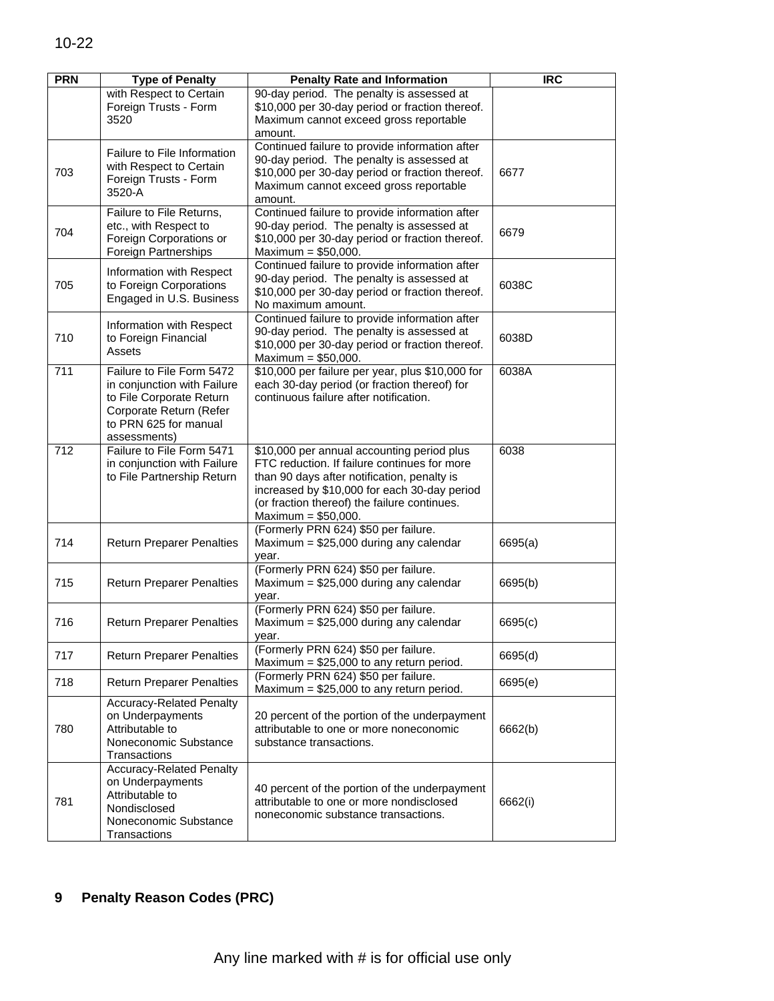| <b>PRN</b> | <b>Type of Penalty</b>                                                                                                                                   | <b>Penalty Rate and Information</b>                                                                                                                                                                                                                                | <b>IRC</b> |
|------------|----------------------------------------------------------------------------------------------------------------------------------------------------------|--------------------------------------------------------------------------------------------------------------------------------------------------------------------------------------------------------------------------------------------------------------------|------------|
|            | with Respect to Certain<br>Foreign Trusts - Form<br>3520                                                                                                 | 90-day period. The penalty is assessed at<br>\$10,000 per 30-day period or fraction thereof.<br>Maximum cannot exceed gross reportable<br>amount.                                                                                                                  |            |
| 703        | Failure to File Information<br>with Respect to Certain<br>Foreign Trusts - Form<br>3520-A                                                                | Continued failure to provide information after<br>90-day period. The penalty is assessed at<br>\$10,000 per 30-day period or fraction thereof.<br>Maximum cannot exceed gross reportable<br>amount.                                                                | 6677       |
| 704        | Failure to File Returns,<br>etc., with Respect to<br>Foreign Corporations or<br>Foreign Partnerships                                                     | Continued failure to provide information after<br>90-day period. The penalty is assessed at<br>\$10,000 per 30-day period or fraction thereof.<br>Maximum = $$50,000$ .                                                                                            | 6679       |
| 705        | Information with Respect<br>to Foreign Corporations<br>Engaged in U.S. Business                                                                          | Continued failure to provide information after<br>90-day period. The penalty is assessed at<br>\$10,000 per 30-day period or fraction thereof.<br>No maximum amount.                                                                                               | 6038C      |
| 710        | Information with Respect<br>to Foreign Financial<br>Assets                                                                                               | Continued failure to provide information after<br>90-day period. The penalty is assessed at<br>\$10,000 per 30-day period or fraction thereof.<br>Maximum = $$50,000$ .                                                                                            | 6038D      |
| 711        | Failure to File Form 5472<br>in conjunction with Failure<br>to File Corporate Return<br>Corporate Return (Refer<br>to PRN 625 for manual<br>assessments) | \$10,000 per failure per year, plus \$10,000 for<br>each 30-day period (or fraction thereof) for<br>continuous failure after notification.                                                                                                                         | 6038A      |
| 712        | Failure to File Form 5471<br>in conjunction with Failure<br>to File Partnership Return                                                                   | \$10,000 per annual accounting period plus<br>FTC reduction. If failure continues for more<br>than 90 days after notification, penalty is<br>increased by \$10,000 for each 30-day period<br>(or fraction thereof) the failure continues.<br>Maximum = $$50,000$ . | 6038       |
| 714        | <b>Return Preparer Penalties</b>                                                                                                                         | (Formerly PRN 624) \$50 per failure.<br>Maximum = $$25,000$ during any calendar<br>year.                                                                                                                                                                           | 6695(a)    |
| 715        | <b>Return Preparer Penalties</b>                                                                                                                         | (Formerly PRN 624) \$50 per failure.<br>Maximum = $$25,000$ during any calendar<br>vear.                                                                                                                                                                           | 6695(b)    |
| 716        | <b>Return Preparer Penalties</b>                                                                                                                         | (Formerly PRN 624) \$50 per failure.<br>Maximum = $$25,000$ during any calendar<br>year.                                                                                                                                                                           | 6695(c)    |
| 717        | <b>Return Preparer Penalties</b>                                                                                                                         | (Formerly PRN 624) \$50 per failure.<br>Maximum = $$25,000$ to any return period.                                                                                                                                                                                  | 6695(d)    |
| 718        | <b>Return Preparer Penalties</b>                                                                                                                         | (Formerly PRN 624) \$50 per failure.<br>Maximum = $$25,000$ to any return period.                                                                                                                                                                                  | 6695(e)    |
| 780        | <b>Accuracy-Related Penalty</b><br>on Underpayments<br>Attributable to<br>Noneconomic Substance<br>Transactions                                          | 20 percent of the portion of the underpayment<br>attributable to one or more noneconomic<br>substance transactions.                                                                                                                                                | 6662(b)    |
| 781        | <b>Accuracy-Related Penalty</b><br>on Underpayments<br>Attributable to<br>Nondisclosed<br>Noneconomic Substance<br>Transactions                          | 40 percent of the portion of the underpayment<br>attributable to one or more nondisclosed<br>noneconomic substance transactions.                                                                                                                                   | 6662(i)    |

## **9 Penalty Reason Codes (PRC)**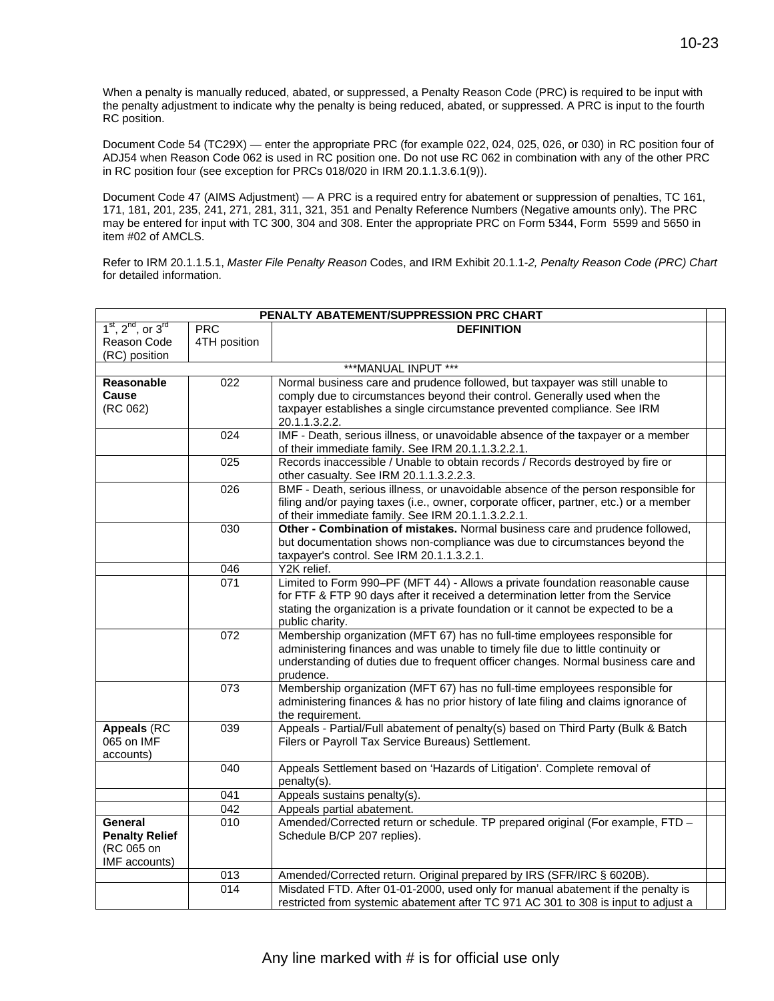When a penalty is manually reduced, abated, or suppressed, a Penalty Reason Code (PRC) is required to be input with the penalty adjustment to indicate why the penalty is being reduced, abated, or suppressed. A PRC is input to the fourth RC position.

Document Code 54 (TC29X) — enter the appropriate PRC (for example 022, 024, 025, 026, or 030) in RC position four of ADJ54 when Reason Code 062 is used in RC position one. Do not use RC 062 in combination with any of the other PRC in RC position four (see exception for PRCs 018/020 in IRM 20.1.1.3.6.1(9)).

Document Code 47 (AIMS Adjustment) — A PRC is a required entry for abatement or suppression of penalties, TC 161, 171, 181, 201, 235, 241, 271, 281, 311, 321, 351 and Penalty Reference Numbers (Negative amounts only). The PRC may be entered for input with TC 300, 304 and 308. Enter the appropriate PRC on Form 5344, Form 5599 and 5650 in item #02 of AMCLS.

Refer to IRM 20.1.1.5.1, *Master File Penalty Reason* Codes, and IRM Exhibit 20.1.1-*2, Penalty Reason Code (PRC) Chart*  for detailed information.

| PENALTY ABATEMENT/SUPPRESSION PRC CHART                         |                  |                                                                                                                                                                                                                                                                           |  |
|-----------------------------------------------------------------|------------------|---------------------------------------------------------------------------------------------------------------------------------------------------------------------------------------------------------------------------------------------------------------------------|--|
| $1st$ , $2nd$ , or $3rd$                                        | PRC              | <b>DEFINITION</b>                                                                                                                                                                                                                                                         |  |
| Reason Code                                                     | 4TH position     |                                                                                                                                                                                                                                                                           |  |
| (RC) position                                                   |                  |                                                                                                                                                                                                                                                                           |  |
|                                                                 |                  | ***MANUAL INPUT ***                                                                                                                                                                                                                                                       |  |
| Reasonable                                                      | 022              | Normal business care and prudence followed, but taxpayer was still unable to                                                                                                                                                                                              |  |
| Cause                                                           |                  | comply due to circumstances beyond their control. Generally used when the                                                                                                                                                                                                 |  |
| (RC 062)                                                        |                  | taxpayer establishes a single circumstance prevented compliance. See IRM                                                                                                                                                                                                  |  |
|                                                                 |                  | 20.1.1.3.2.2.                                                                                                                                                                                                                                                             |  |
|                                                                 | 024              | IMF - Death, serious illness, or unavoidable absence of the taxpayer or a member<br>of their immediate family. See IRM 20.1.1.3.2.2.1.                                                                                                                                    |  |
|                                                                 | 025              | Records inaccessible / Unable to obtain records / Records destroyed by fire or<br>other casualty. See IRM 20.1.1.3.2.2.3.                                                                                                                                                 |  |
|                                                                 | 026              | BMF - Death, serious illness, or unavoidable absence of the person responsible for<br>filing and/or paying taxes (i.e., owner, corporate officer, partner, etc.) or a member<br>of their immediate family. See IRM 20.1.1.3.2.2.1.                                        |  |
|                                                                 | 030              | Other - Combination of mistakes. Normal business care and prudence followed,<br>but documentation shows non-compliance was due to circumstances beyond the<br>taxpayer's control. See IRM 20.1.1.3.2.1.                                                                   |  |
|                                                                 | 046              | Y2K relief.                                                                                                                                                                                                                                                               |  |
|                                                                 | 071              | Limited to Form 990-PF (MFT 44) - Allows a private foundation reasonable cause<br>for FTF & FTP 90 days after it received a determination letter from the Service<br>stating the organization is a private foundation or it cannot be expected to be a<br>public charity. |  |
|                                                                 | 072              | Membership organization (MFT 67) has no full-time employees responsible for<br>administering finances and was unable to timely file due to little continuity or<br>understanding of duties due to frequent officer changes. Normal business care and<br>prudence.         |  |
|                                                                 | $\overline{073}$ | Membership organization (MFT 67) has no full-time employees responsible for<br>administering finances & has no prior history of late filing and claims ignorance of<br>the requirement.                                                                                   |  |
| <b>Appeals (RC</b><br>065 on IMF<br>accounts)                   | 039              | Appeals - Partial/Full abatement of penalty(s) based on Third Party (Bulk & Batch<br>Filers or Payroll Tax Service Bureaus) Settlement.                                                                                                                                   |  |
|                                                                 | 040              | Appeals Settlement based on 'Hazards of Litigation'. Complete removal of<br>penalty(s).                                                                                                                                                                                   |  |
|                                                                 | 041              | Appeals sustains penalty(s).                                                                                                                                                                                                                                              |  |
|                                                                 | 042              | Appeals partial abatement.                                                                                                                                                                                                                                                |  |
| General<br><b>Penalty Relief</b><br>(RC 065 on<br>IMF accounts) | $\overline{010}$ | Amended/Corrected return or schedule. TP prepared original (For example, FTD -<br>Schedule B/CP 207 replies).                                                                                                                                                             |  |
|                                                                 | 013              | Amended/Corrected return. Original prepared by IRS (SFR/IRC § 6020B).                                                                                                                                                                                                     |  |
|                                                                 | $\overline{014}$ | Misdated FTD. After 01-01-2000, used only for manual abatement if the penalty is                                                                                                                                                                                          |  |
|                                                                 |                  | restricted from systemic abatement after TC 971 AC 301 to 308 is input to adjust a                                                                                                                                                                                        |  |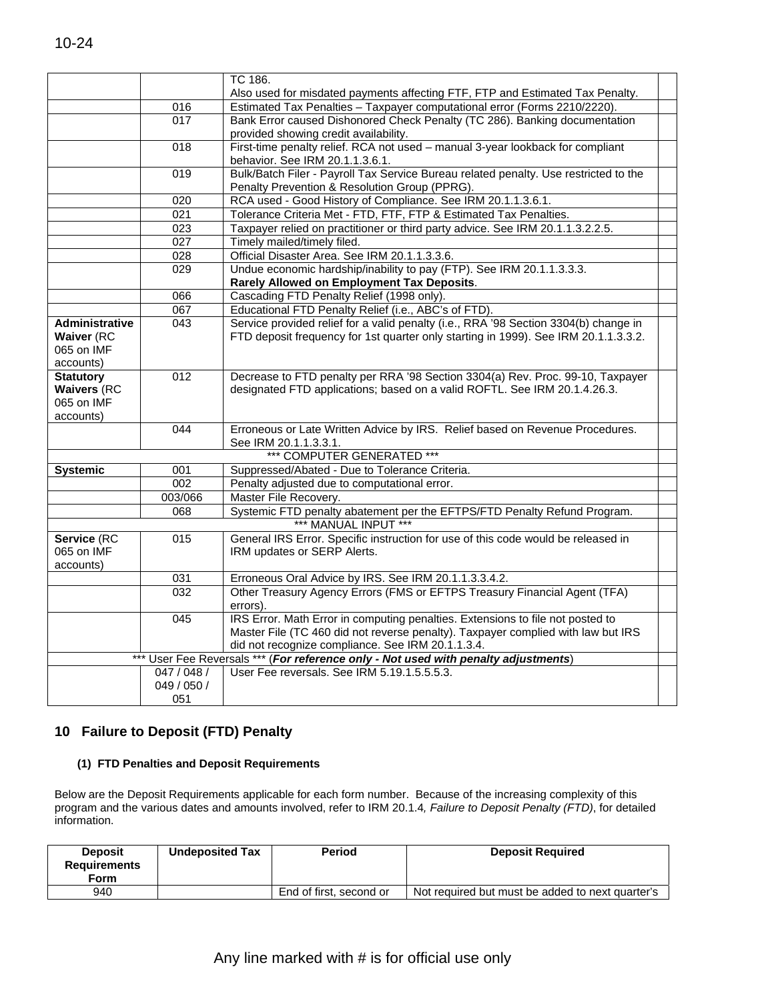|                                                                   |                  | TC 186.                                                                                                                                                     |  |
|-------------------------------------------------------------------|------------------|-------------------------------------------------------------------------------------------------------------------------------------------------------------|--|
|                                                                   |                  | Also used for misdated payments affecting FTF, FTP and Estimated Tax Penalty.                                                                               |  |
|                                                                   | 016              | Estimated Tax Penalties - Taxpayer computational error (Forms 2210/2220).                                                                                   |  |
|                                                                   | 017              | Bank Error caused Dishonored Check Penalty (TC 286). Banking documentation<br>provided showing credit availability.                                         |  |
|                                                                   | 018              | First-time penalty relief. RCA not used - manual 3-year lookback for compliant<br>behavior. See IRM 20.1.1.3.6.1.                                           |  |
|                                                                   | $\overline{019}$ | Bulk/Batch Filer - Payroll Tax Service Bureau related penalty. Use restricted to the<br>Penalty Prevention & Resolution Group (PPRG).                       |  |
|                                                                   | $\overline{020}$ | RCA used - Good History of Compliance. See IRM 20.1.1.3.6.1.                                                                                                |  |
|                                                                   | 021              | Tolerance Criteria Met - FTD, FTF, FTP & Estimated Tax Penalties.                                                                                           |  |
|                                                                   | 023              | Taxpayer relied on practitioner or third party advice. See IRM 20.1.1.3.2.2.5.                                                                              |  |
|                                                                   | $\overline{027}$ | Timely mailed/timely filed.                                                                                                                                 |  |
|                                                                   | $\overline{028}$ | Official Disaster Area. See IRM 20.1.1.3.3.6.                                                                                                               |  |
|                                                                   | $\overline{029}$ | Undue economic hardship/inability to pay (FTP). See IRM 20.1.1.3.3.3.<br>Rarely Allowed on Employment Tax Deposits.                                         |  |
|                                                                   | 066              | Cascading FTD Penalty Relief (1998 only).                                                                                                                   |  |
|                                                                   | 067              | Educational FTD Penalty Relief (i.e., ABC's of FTD).                                                                                                        |  |
| <b>Administrative</b>                                             | $\overline{043}$ | Service provided relief for a valid penalty (i.e., RRA '98 Section 3304(b) change in                                                                        |  |
| <b>Waiver (RC</b>                                                 |                  | FTD deposit frequency for 1st quarter only starting in 1999). See IRM 20.1.1.3.3.2.                                                                         |  |
| 065 on IMF                                                        |                  |                                                                                                                                                             |  |
| accounts)                                                         |                  |                                                                                                                                                             |  |
| <b>Statutory</b><br><b>Waivers (RC</b><br>065 on IMF<br>accounts) | 012              | Decrease to FTD penalty per RRA '98 Section 3304(a) Rev. Proc. 99-10, Taxpayer<br>designated FTD applications; based on a valid ROFTL. See IRM 20.1.4.26.3. |  |
|                                                                   | 044              | Erroneous or Late Written Advice by IRS. Relief based on Revenue Procedures.<br>See IRM 20.1.1.3.3.1.                                                       |  |
|                                                                   |                  | *** COMPUTER GENERATED ***                                                                                                                                  |  |
|                                                                   | 001              | Suppressed/Abated - Due to Tolerance Criteria.                                                                                                              |  |
| <b>Systemic</b>                                                   | 002              | Penalty adjusted due to computational error.                                                                                                                |  |
|                                                                   | 003/066          | Master File Recovery.                                                                                                                                       |  |
|                                                                   | 068              | Systemic FTD penalty abatement per the EFTPS/FTD Penalty Refund Program.                                                                                    |  |
|                                                                   |                  | *** MANUAL INPUT ***                                                                                                                                        |  |
| Service (RC                                                       | 015              | General IRS Error. Specific instruction for use of this code would be released in                                                                           |  |
| 065 on IMF                                                        |                  | IRM updates or SERP Alerts.                                                                                                                                 |  |
| accounts)                                                         |                  |                                                                                                                                                             |  |
|                                                                   | 031              | Erroneous Oral Advice by IRS. See IRM 20.1.1.3.3.4.2.                                                                                                       |  |
|                                                                   | $\overline{032}$ | Other Treasury Agency Errors (FMS or EFTPS Treasury Financial Agent (TFA)                                                                                   |  |
|                                                                   |                  | errors).                                                                                                                                                    |  |
|                                                                   | 045              | IRS Error. Math Error in computing penalties. Extensions to file not posted to                                                                              |  |
|                                                                   |                  | Master File (TC 460 did not reverse penalty). Taxpayer complied with law but IRS                                                                            |  |
|                                                                   |                  | did not recognize compliance. See IRM 20.1.1.3.4.                                                                                                           |  |
|                                                                   | $***$            | User Fee Reversals *** (For reference only - Not used with penalty adjustments)                                                                             |  |
|                                                                   | 047 / 048 /      | User Fee reversals. See IRM 5.19.1.5.5.5.3.                                                                                                                 |  |
|                                                                   | 049 / 050 /      |                                                                                                                                                             |  |
|                                                                   | 051              |                                                                                                                                                             |  |

# **10 Failure to Deposit (FTD) Penalty (1) FTD Penalties and Deposit Requirements**

Below are the Deposit Requirements applicable for each form number. Because of the increasing complexity of this program and the various dates and amounts involved, refer to IRM 20.1.4*, Failure to Deposit Penalty (FTD)*, for detailed information.

| <b>Deposit</b><br><b>Requirements</b><br>Form | <b>Undeposited Tax</b> | Period                  | <b>Deposit Required</b>                          |
|-----------------------------------------------|------------------------|-------------------------|--------------------------------------------------|
| 940                                           |                        | End of first, second or | Not required but must be added to next quarter's |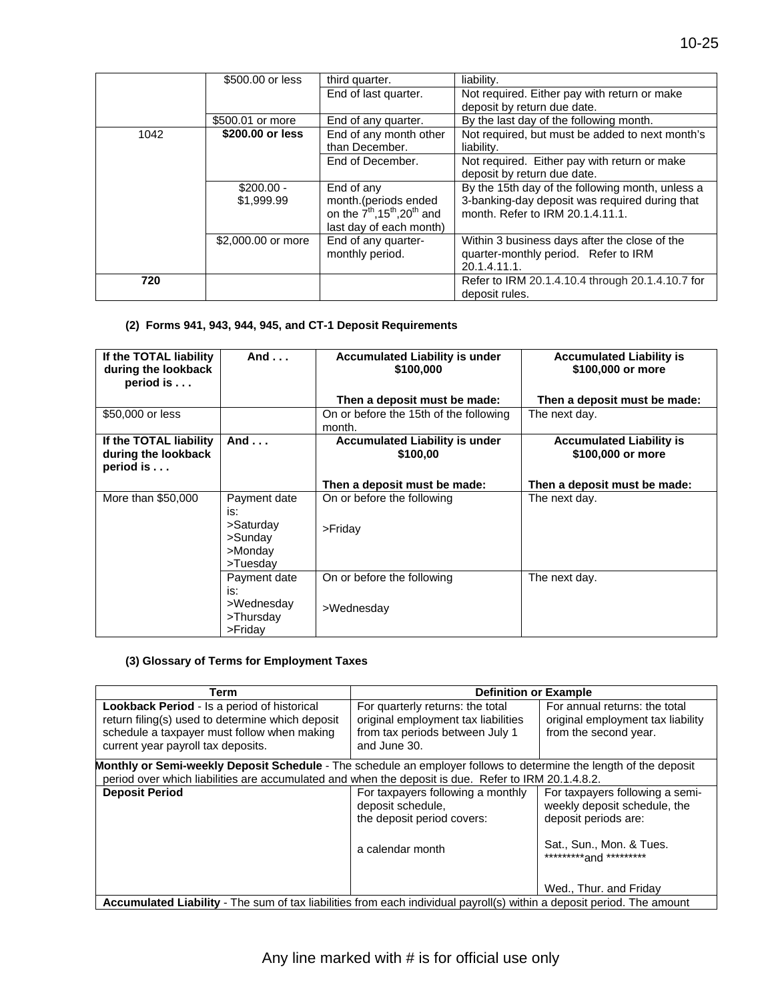|      | \$500.00 or less          | third quarter.                                                                                                             | liability.                                                                                                                             |
|------|---------------------------|----------------------------------------------------------------------------------------------------------------------------|----------------------------------------------------------------------------------------------------------------------------------------|
|      |                           | End of last quarter.                                                                                                       | Not required. Either pay with return or make                                                                                           |
|      |                           |                                                                                                                            | deposit by return due date.                                                                                                            |
|      | \$500.01 or more          | End of any quarter.                                                                                                        | By the last day of the following month.                                                                                                |
| 1042 | \$200.00 or less          | End of any month other<br>than December.                                                                                   | Not required, but must be added to next month's<br>liability.                                                                          |
|      |                           | End of December.                                                                                                           | Not required. Either pay with return or make<br>deposit by return due date.                                                            |
|      | $$200.00 -$<br>\$1,999.99 | End of any<br>month.(periods ended<br>on the $7^{th}$ , 15 <sup>th</sup> , 20 <sup>th</sup> and<br>last day of each month) | By the 15th day of the following month, unless a<br>3-banking-day deposit was required during that<br>month. Refer to IRM 20.1.4.11.1. |
|      | \$2,000.00 or more        | End of any quarter-<br>monthly period.                                                                                     | Within 3 business days after the close of the<br>quarter-monthly period. Refer to IRM<br>20.1.4.11.1.                                  |
| 720  |                           |                                                                                                                            | Refer to IRM 20.1.4.10.4 through 20.1.4.10.7 for<br>deposit rules.                                                                     |

#### **(2) Forms 941, 943, 944, 945, and CT-1 Deposit Requirements**

| If the TOTAL liability<br>during the lookback<br>period is $\dots$ | And $\ldots$                                                       | <b>Accumulated Liability is under</b><br>\$100,000 | <b>Accumulated Liability is</b><br>\$100,000 or more |
|--------------------------------------------------------------------|--------------------------------------------------------------------|----------------------------------------------------|------------------------------------------------------|
|                                                                    |                                                                    | Then a deposit must be made:                       | Then a deposit must be made:                         |
| \$50,000 or less                                                   |                                                                    | On or before the 15th of the following<br>month.   | The next day.                                        |
| If the TOTAL liability<br>during the lookback<br>period is         | And $\ldots$                                                       | <b>Accumulated Liability is under</b><br>\$100.00  | <b>Accumulated Liability is</b><br>\$100,000 or more |
|                                                                    |                                                                    | Then a deposit must be made:                       | Then a deposit must be made:                         |
| More than \$50,000                                                 | Payment date<br>is:<br>>Saturday<br>>Sunday<br>>Monday<br>>Tuesday | On or before the following<br>$>$ Friday           | The next day.                                        |
|                                                                    | Payment date<br>is:<br>>Wednesday<br>>Thursday<br>$>$ Friday       | On or before the following<br>>Wednesday           | The next day.                                        |

#### **(3) Glossary of Terms for Employment Taxes**

| Term                                                                                                                                                                                        | <b>Definition or Example</b>                                                                                               |                                                                                             |  |  |
|---------------------------------------------------------------------------------------------------------------------------------------------------------------------------------------------|----------------------------------------------------------------------------------------------------------------------------|---------------------------------------------------------------------------------------------|--|--|
| <b>Lookback Period - Is a period of historical</b><br>return filing(s) used to determine which deposit<br>schedule a taxpayer must follow when making<br>current year payroll tax deposits. | For quarterly returns: the total<br>original employment tax liabilities<br>from tax periods between July 1<br>and June 30. | For annual returns: the total<br>original employment tax liability<br>from the second year. |  |  |
| <b>Monthly or Semi-weekly Deposit Schedule</b> - The schedule an employer follows to determine the length of the deposit                                                                    |                                                                                                                            |                                                                                             |  |  |
| period over which liabilities are accumulated and when the deposit is due. Refer to IRM 20.1.4.8.2.                                                                                         |                                                                                                                            |                                                                                             |  |  |
| <b>Deposit Period</b>                                                                                                                                                                       | For taxpayers following a monthly<br>deposit schedule,<br>the deposit period covers:                                       | For taxpayers following a semi-<br>weekly deposit schedule, the<br>deposit periods are:     |  |  |
|                                                                                                                                                                                             | a calendar month                                                                                                           | Sat., Sun., Mon. & Tues.<br>**********and *********                                         |  |  |
|                                                                                                                                                                                             |                                                                                                                            | Wed., Thur. and Friday                                                                      |  |  |
| Accumulated Liability - The sum of tax liabilities from each individual payroll(s) within a deposit period. The amount                                                                      |                                                                                                                            |                                                                                             |  |  |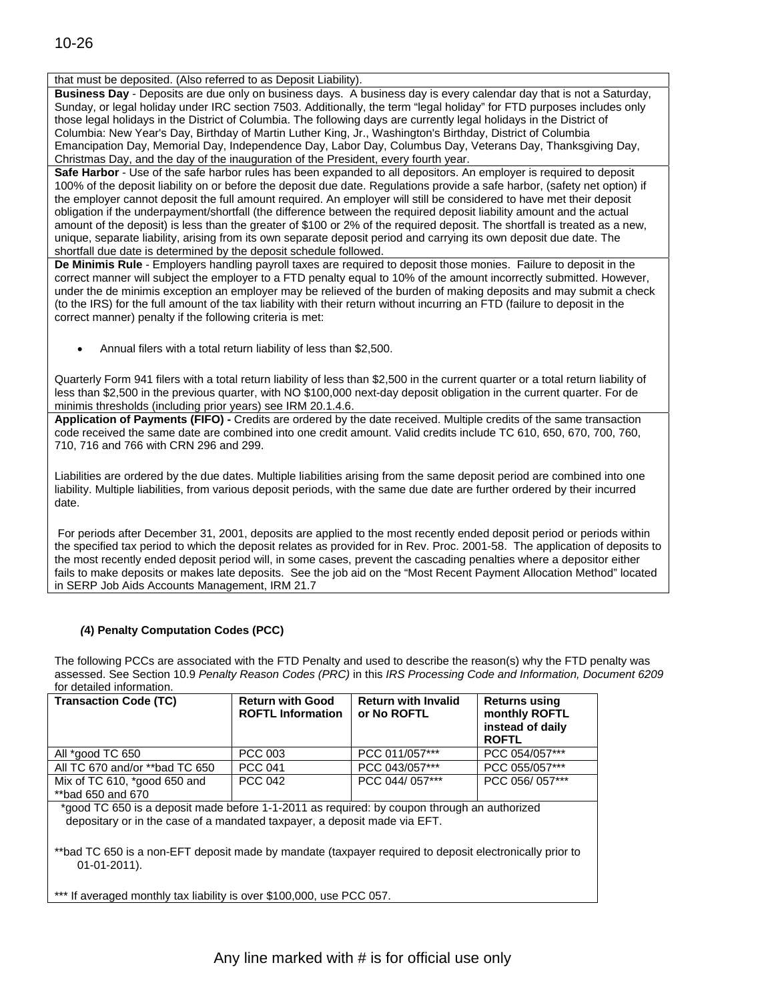#### that must be deposited. (Also referred to as Deposit Liability).

**Business Day** - Deposits are due only on business days. A business day is every calendar day that is not a Saturday, Sunday, or legal holiday under IRC section 7503. Additionally, the term "legal holiday" for FTD purposes includes only those legal holidays in the District of Columbia. The following days are currently legal holidays in the District of Columbia: New Year's Day, Birthday of Martin Luther King, Jr., Washington's Birthday, District of Columbia Emancipation Day, Memorial Day, Independence Day, Labor Day, Columbus Day, Veterans Day, Thanksgiving Day, Christmas Day, and the day of the inauguration of the President, every fourth year.

**Safe Harbor** - Use of the safe harbor rules has been expanded to all depositors. An employer is required to deposit 100% of the deposit liability on or before the deposit due date. Regulations provide a safe harbor, (safety net option) if the employer cannot deposit the full amount required. An employer will still be considered to have met their deposit obligation if the underpayment/shortfall (the difference between the required deposit liability amount and the actual amount of the deposit) is less than the greater of \$100 or 2% of the required deposit. The shortfall is treated as a new, unique, separate liability, arising from its own separate deposit period and carrying its own deposit due date. The shortfall due date is determined by the deposit schedule followed.

**De Minimis Rule** - Employers handling payroll taxes are required to deposit those monies. Failure to deposit in the correct manner will subject the employer to a FTD penalty equal to 10% of the amount incorrectly submitted. However, under the de minimis exception an employer may be relieved of the burden of making deposits and may submit a check (to the IRS) for the full amount of the tax liability with their return without incurring an FTD (failure to deposit in the correct manner) penalty if the following criteria is met:

Annual filers with a total return liability of less than \$2,500.

Quarterly Form 941 filers with a total return liability of less than \$2,500 in the current quarter or a total return liability of less than \$2,500 in the previous quarter, with NO \$100,000 next-day deposit obligation in the current quarter. For de minimis thresholds (including prior years) see IRM 20.1.4.6.

**Application of Payments (FIFO) -** Credits are ordered by the date received. Multiple credits of the same transaction code received the same date are combined into one credit amount. Valid credits include TC 610, 650, 670, 700, 760, 710, 716 and 766 with CRN 296 and 299.

Liabilities are ordered by the due dates. Multiple liabilities arising from the same deposit period are combined into one liability. Multiple liabilities, from various deposit periods, with the same due date are further ordered by their incurred date.

 the specified tax period to which the deposit relates as provided for in Rev. Proc. 2001-58. The application of deposits to For periods after December 31, 2001, deposits are applied to the most recently ended deposit period or periods within the most recently ended deposit period will, in some cases, prevent the cascading penalties where a depositor either fails to make deposits or makes late deposits. See the job aid on the "Most Recent Payment Allocation Method" located in SERP Job Aids Accounts Management, IRM 21.7

#### *(***4) Penalty Computation Codes (PCC)**

The following PCCs are associated with the FTD Penalty and used to describe the reason(s) why the FTD penalty was assessed. See Section 10.9 *Penalty Reason Codes (PRC)* in this *IRS Processing Code and Information, Document 6209*  for detailed information.

| <b>Transaction Code (TC)</b>                                                                                                                                             | <b>Return with Good</b><br><b>ROFTL Information</b> | <b>Return with Invalid</b><br>or No ROFTL | <b>Returns using</b><br>monthly ROFTL<br>instead of daily<br><b>ROFTL</b> |  |  |
|--------------------------------------------------------------------------------------------------------------------------------------------------------------------------|-----------------------------------------------------|-------------------------------------------|---------------------------------------------------------------------------|--|--|
| All *good TC 650                                                                                                                                                         | PCC 003                                             | PCC 011/057***                            | PCC 054/057***                                                            |  |  |
| All TC 670 and/or **bad TC 650                                                                                                                                           | <b>PCC 041</b>                                      | PCC 043/057***                            | PCC 055/057***                                                            |  |  |
| Mix of TC 610, *good 650 and<br>**bad 650 and 670                                                                                                                        | <b>PCC 042</b>                                      | PCC 044/057***                            | PCC 056/057***                                                            |  |  |
| *good TC 650 is a deposit made before 1-1-2011 as required: by coupon through an authorized<br>depositary or in the case of a mandated taxpayer, a deposit made via EFT. |                                                     |                                           |                                                                           |  |  |
| **bad TC 650 is a non-EFT deposit made by mandate (taxpayer required to deposit electronically prior to<br>$01-01-2011$ .                                                |                                                     |                                           |                                                                           |  |  |

\*\*\* If averaged monthly tax liability is over \$100,000, use PCC 057.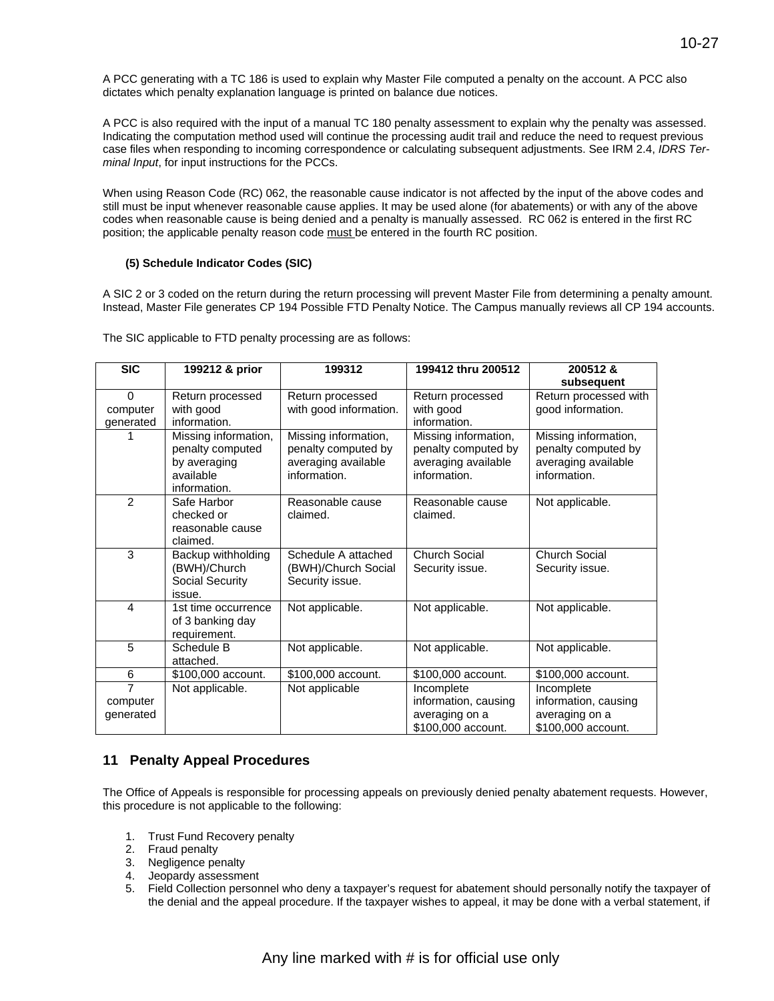A PCC generating with a TC 186 is used to explain why Master File computed a penalty on the account. A PCC also dictates which penalty explanation language is printed on balance due notices.

A PCC is also required with the input of a manual TC 180 penalty assessment to explain why the penalty was assessed. Indicating the computation method used will continue the processing audit trail and reduce the need to request previous case files when responding to incoming correspondence or calculating subsequent adjustments. See IRM 2.4, *IDRS Terminal Input*, for input instructions for the PCCs.

When using Reason Code (RC) 062, the reasonable cause indicator is not affected by the input of the above codes and still must be input whenever reasonable cause applies. It may be used alone (for abatements) or with any of the above codes when reasonable cause is being denied and a penalty is manually assessed. RC 062 is entered in the first RC position; the applicable penalty reason code must be entered in the fourth RC position.

#### **(5) Schedule Indicator Codes (SIC)**

A SIC 2 or 3 coded on the return during the return processing will prevent Master File from determining a penalty amount. Instead, Master File generates CP 194 Possible FTD Penalty Notice. The Campus manually reviews all CP 194 accounts.

| <b>SIC</b>                              | 199212 & prior                                                                        | 199312                                                                             | 199412 thru 200512                                                                 | 200512&                                                                            |
|-----------------------------------------|---------------------------------------------------------------------------------------|------------------------------------------------------------------------------------|------------------------------------------------------------------------------------|------------------------------------------------------------------------------------|
|                                         |                                                                                       |                                                                                    |                                                                                    | subsequent                                                                         |
| $\Omega$                                | Return processed                                                                      | Return processed                                                                   | Return processed                                                                   | Return processed with                                                              |
| computer<br>generated                   | with good<br>information.                                                             | with good information.                                                             | with good<br>information.                                                          | good information.                                                                  |
|                                         | Missing information,<br>penalty computed<br>by averaging<br>available<br>information. | Missing information,<br>penalty computed by<br>averaging available<br>information. | Missing information,<br>penalty computed by<br>averaging available<br>information. | Missing information,<br>penalty computed by<br>averaging available<br>information. |
| 2                                       | Safe Harbor<br>checked or<br>reasonable cause<br>claimed.                             | Reasonable cause<br>claimed.                                                       | Reasonable cause<br>claimed.                                                       | Not applicable.                                                                    |
| 3                                       | Backup withholding<br>(BWH)/Church<br>Social Security<br>issue.                       | Schedule A attached<br>(BWH)/Church Social<br>Security issue.                      | <b>Church Social</b><br>Security issue.                                            | <b>Church Social</b><br>Security issue.                                            |
| 4                                       | 1st time occurrence<br>of 3 banking day<br>requirement.                               | Not applicable.                                                                    | Not applicable.                                                                    | Not applicable.                                                                    |
| 5                                       | Schedule B<br>attached.                                                               | Not applicable.                                                                    | Not applicable.                                                                    | Not applicable.                                                                    |
| 6                                       | \$100,000 account.                                                                    | \$100,000 account.                                                                 | \$100,000 account.                                                                 | \$100,000 account.                                                                 |
| $\overline{7}$<br>computer<br>generated | Not applicable.                                                                       | Not applicable                                                                     | Incomplete<br>information, causing<br>averaging on a<br>\$100,000 account.         | Incomplete<br>information, causing<br>averaging on a<br>\$100,000 account.         |

The SIC applicable to FTD penalty processing are as follows:

### **11 Penalty Appeal Procedures**

The Office of Appeals is responsible for processing appeals on previously denied penalty abatement requests. However, this procedure is not applicable to the following:

- 1. Trust Fund Recovery penalty
- 2. Fraud penalty
- 
- 2. Fraud penalty<br>3. Negligence penalty<br>4. Jeopardy assessment
- the denial and the appeal procedure. If the taxpayer wishes to appeal, it may be done with a verbal statement, if 5. Field Collection personnel who deny a taxpayer's request for abatement should personally notify the taxpayer of